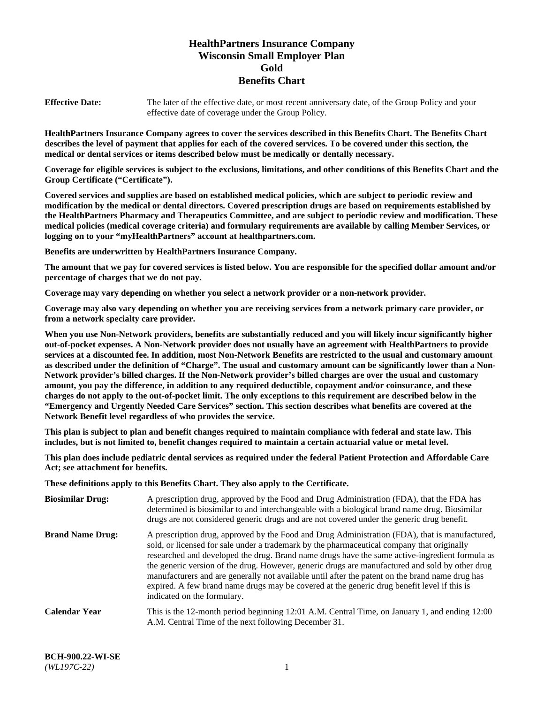# **HealthPartners Insurance Company Wisconsin Small Employer Plan Gold Benefits Chart**

**Effective Date:** The later of the effective date, or most recent anniversary date, of the Group Policy and your effective date of coverage under the Group Policy.

**HealthPartners Insurance Company agrees to cover the services described in this Benefits Chart. The Benefits Chart describes the level of payment that applies for each of the covered services. To be covered under this section, the medical or dental services or items described below must be medically or dentally necessary.**

**Coverage for eligible services is subject to the exclusions, limitations, and other conditions of this Benefits Chart and the Group Certificate ("Certificate").**

**Covered services and supplies are based on established medical policies, which are subject to periodic review and modification by the medical or dental directors. Covered prescription drugs are based on requirements established by the HealthPartners Pharmacy and Therapeutics Committee, and are subject to periodic review and modification. These medical policies (medical coverage criteria) and formulary requirements are available by calling Member Services, or logging on to your "myHealthPartners" account at [healthpartners.com.](https://www.healthpartners.com/hp/index.html)** 

**Benefits are underwritten by HealthPartners Insurance Company.**

**The amount that we pay for covered services is listed below. You are responsible for the specified dollar amount and/or percentage of charges that we do not pay.**

**Coverage may vary depending on whether you select a network provider or a non-network provider.**

**Coverage may also vary depending on whether you are receiving services from a network primary care provider, or from a network specialty care provider.**

**When you use Non-Network providers, benefits are substantially reduced and you will likely incur significantly higher out-of-pocket expenses. A Non-Network provider does not usually have an agreement with HealthPartners to provide services at a discounted fee. In addition, most Non-Network Benefits are restricted to the usual and customary amount as described under the definition of "Charge". The usual and customary amount can be significantly lower than a Non-Network provider's billed charges. If the Non-Network provider's billed charges are over the usual and customary amount, you pay the difference, in addition to any required deductible, copayment and/or coinsurance, and these charges do not apply to the out-of-pocket limit. The only exceptions to this requirement are described below in the "Emergency and Urgently Needed Care Services" section. This section describes what benefits are covered at the Network Benefit level regardless of who provides the service.**

**This plan is subject to plan and benefit changes required to maintain compliance with federal and state law. This includes, but is not limited to, benefit changes required to maintain a certain actuarial value or metal level.**

**This plan does include pediatric dental services as required under the federal Patient Protection and Affordable Care Act; see attachment for benefits.**

**These definitions apply to this Benefits Chart. They also apply to the Certificate.**

| <b>Biosimilar Drug:</b> | A prescription drug, approved by the Food and Drug Administration (FDA), that the FDA has<br>determined is biosimilar to and interchangeable with a biological brand name drug. Biosimilar<br>drugs are not considered generic drugs and are not covered under the generic drug benefit.                                                                                                                                                                                                                                                                                                                                           |
|-------------------------|------------------------------------------------------------------------------------------------------------------------------------------------------------------------------------------------------------------------------------------------------------------------------------------------------------------------------------------------------------------------------------------------------------------------------------------------------------------------------------------------------------------------------------------------------------------------------------------------------------------------------------|
| <b>Brand Name Drug:</b> | A prescription drug, approved by the Food and Drug Administration (FDA), that is manufactured,<br>sold, or licensed for sale under a trademark by the pharmaceutical company that originally<br>researched and developed the drug. Brand name drugs have the same active-ingredient formula as<br>the generic version of the drug. However, generic drugs are manufactured and sold by other drug<br>manufacturers and are generally not available until after the patent on the brand name drug has<br>expired. A few brand name drugs may be covered at the generic drug benefit level if this is<br>indicated on the formulary. |
| <b>Calendar Year</b>    | This is the 12-month period beginning 12:01 A.M. Central Time, on January 1, and ending 12:00<br>A.M. Central Time of the next following December 31.                                                                                                                                                                                                                                                                                                                                                                                                                                                                              |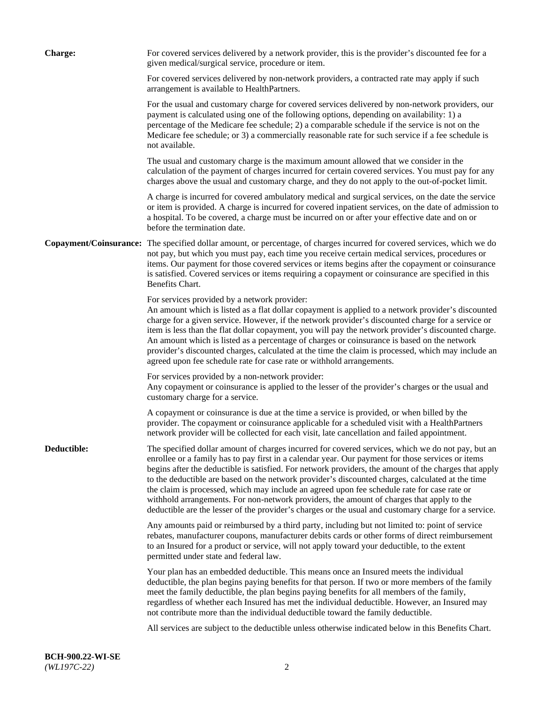| <b>Charge:</b> | For covered services delivered by a network provider, this is the provider's discounted fee for a<br>given medical/surgical service, procedure or item.                                                                                                                                                                                                                                                                                                                                                                                                                                                                                                                                                                 |
|----------------|-------------------------------------------------------------------------------------------------------------------------------------------------------------------------------------------------------------------------------------------------------------------------------------------------------------------------------------------------------------------------------------------------------------------------------------------------------------------------------------------------------------------------------------------------------------------------------------------------------------------------------------------------------------------------------------------------------------------------|
|                | For covered services delivered by non-network providers, a contracted rate may apply if such<br>arrangement is available to HealthPartners.                                                                                                                                                                                                                                                                                                                                                                                                                                                                                                                                                                             |
|                | For the usual and customary charge for covered services delivered by non-network providers, our<br>payment is calculated using one of the following options, depending on availability: 1) a<br>percentage of the Medicare fee schedule; 2) a comparable schedule if the service is not on the<br>Medicare fee schedule; or 3) a commercially reasonable rate for such service if a fee schedule is<br>not available.                                                                                                                                                                                                                                                                                                   |
|                | The usual and customary charge is the maximum amount allowed that we consider in the<br>calculation of the payment of charges incurred for certain covered services. You must pay for any<br>charges above the usual and customary charge, and they do not apply to the out-of-pocket limit.                                                                                                                                                                                                                                                                                                                                                                                                                            |
|                | A charge is incurred for covered ambulatory medical and surgical services, on the date the service<br>or item is provided. A charge is incurred for covered inpatient services, on the date of admission to<br>a hospital. To be covered, a charge must be incurred on or after your effective date and on or<br>before the termination date.                                                                                                                                                                                                                                                                                                                                                                           |
|                | Copayment/Coinsurance: The specified dollar amount, or percentage, of charges incurred for covered services, which we do<br>not pay, but which you must pay, each time you receive certain medical services, procedures or<br>items. Our payment for those covered services or items begins after the copayment or coinsurance<br>is satisfied. Covered services or items requiring a copayment or coinsurance are specified in this<br>Benefits Chart.                                                                                                                                                                                                                                                                 |
|                | For services provided by a network provider:<br>An amount which is listed as a flat dollar copayment is applied to a network provider's discounted<br>charge for a given service. However, if the network provider's discounted charge for a service or<br>item is less than the flat dollar copayment, you will pay the network provider's discounted charge.<br>An amount which is listed as a percentage of charges or coinsurance is based on the network<br>provider's discounted charges, calculated at the time the claim is processed, which may include an<br>agreed upon fee schedule rate for case rate or withhold arrangements.                                                                            |
|                | For services provided by a non-network provider:<br>Any copayment or coinsurance is applied to the lesser of the provider's charges or the usual and<br>customary charge for a service.                                                                                                                                                                                                                                                                                                                                                                                                                                                                                                                                 |
|                | A copayment or coinsurance is due at the time a service is provided, or when billed by the<br>provider. The copayment or coinsurance applicable for a scheduled visit with a HealthPartners<br>network provider will be collected for each visit, late cancellation and failed appointment.                                                                                                                                                                                                                                                                                                                                                                                                                             |
| Deductible:    | The specified dollar amount of charges incurred for covered services, which we do not pay, but an<br>enrollee or a family has to pay first in a calendar year. Our payment for those services or items<br>begins after the deductible is satisfied. For network providers, the amount of the charges that apply<br>to the deductible are based on the network provider's discounted charges, calculated at the time<br>the claim is processed, which may include an agreed upon fee schedule rate for case rate or<br>withhold arrangements. For non-network providers, the amount of charges that apply to the<br>deductible are the lesser of the provider's charges or the usual and customary charge for a service. |
|                | Any amounts paid or reimbursed by a third party, including but not limited to: point of service<br>rebates, manufacturer coupons, manufacturer debits cards or other forms of direct reimbursement<br>to an Insured for a product or service, will not apply toward your deductible, to the extent<br>permitted under state and federal law.                                                                                                                                                                                                                                                                                                                                                                            |
|                | Your plan has an embedded deductible. This means once an Insured meets the individual<br>deductible, the plan begins paying benefits for that person. If two or more members of the family<br>meet the family deductible, the plan begins paying benefits for all members of the family,<br>regardless of whether each Insured has met the individual deductible. However, an Insured may<br>not contribute more than the individual deductible toward the family deductible.                                                                                                                                                                                                                                           |
|                | All services are subject to the deductible unless otherwise indicated below in this Benefits Chart.                                                                                                                                                                                                                                                                                                                                                                                                                                                                                                                                                                                                                     |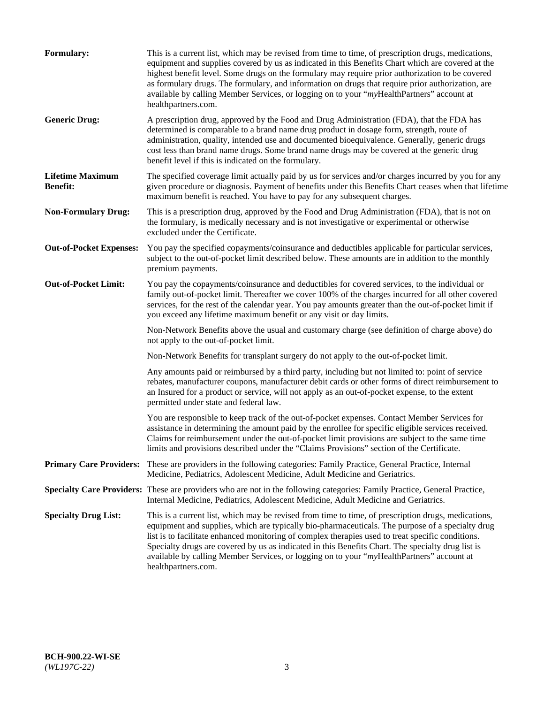| Formulary:                                 | This is a current list, which may be revised from time to time, of prescription drugs, medications,<br>equipment and supplies covered by us as indicated in this Benefits Chart which are covered at the<br>highest benefit level. Some drugs on the formulary may require prior authorization to be covered<br>as formulary drugs. The formulary, and information on drugs that require prior authorization, are<br>available by calling Member Services, or logging on to your "myHealthPartners" account at<br>healthpartners.com. |
|--------------------------------------------|---------------------------------------------------------------------------------------------------------------------------------------------------------------------------------------------------------------------------------------------------------------------------------------------------------------------------------------------------------------------------------------------------------------------------------------------------------------------------------------------------------------------------------------|
| <b>Generic Drug:</b>                       | A prescription drug, approved by the Food and Drug Administration (FDA), that the FDA has<br>determined is comparable to a brand name drug product in dosage form, strength, route of<br>administration, quality, intended use and documented bioequivalence. Generally, generic drugs<br>cost less than brand name drugs. Some brand name drugs may be covered at the generic drug<br>benefit level if this is indicated on the formulary.                                                                                           |
| <b>Lifetime Maximum</b><br><b>Benefit:</b> | The specified coverage limit actually paid by us for services and/or charges incurred by you for any<br>given procedure or diagnosis. Payment of benefits under this Benefits Chart ceases when that lifetime<br>maximum benefit is reached. You have to pay for any subsequent charges.                                                                                                                                                                                                                                              |
| <b>Non-Formulary Drug:</b>                 | This is a prescription drug, approved by the Food and Drug Administration (FDA), that is not on<br>the formulary, is medically necessary and is not investigative or experimental or otherwise<br>excluded under the Certificate.                                                                                                                                                                                                                                                                                                     |
| <b>Out-of-Pocket Expenses:</b>             | You pay the specified copayments/coinsurance and deductibles applicable for particular services,<br>subject to the out-of-pocket limit described below. These amounts are in addition to the monthly<br>premium payments.                                                                                                                                                                                                                                                                                                             |
| <b>Out-of-Pocket Limit:</b>                | You pay the copayments/coinsurance and deductibles for covered services, to the individual or<br>family out-of-pocket limit. Thereafter we cover 100% of the charges incurred for all other covered<br>services, for the rest of the calendar year. You pay amounts greater than the out-of-pocket limit if<br>you exceed any lifetime maximum benefit or any visit or day limits.                                                                                                                                                    |
|                                            | Non-Network Benefits above the usual and customary charge (see definition of charge above) do<br>not apply to the out-of-pocket limit.                                                                                                                                                                                                                                                                                                                                                                                                |
|                                            | Non-Network Benefits for transplant surgery do not apply to the out-of-pocket limit.                                                                                                                                                                                                                                                                                                                                                                                                                                                  |
|                                            | Any amounts paid or reimbursed by a third party, including but not limited to: point of service<br>rebates, manufacturer coupons, manufacturer debit cards or other forms of direct reimbursement to<br>an Insured for a product or service, will not apply as an out-of-pocket expense, to the extent<br>permitted under state and federal law.                                                                                                                                                                                      |
|                                            | You are responsible to keep track of the out-of-pocket expenses. Contact Member Services for<br>assistance in determining the amount paid by the enrollee for specific eligible services received.<br>Claims for reimbursement under the out-of-pocket limit provisions are subject to the same time<br>limits and provisions described under the "Claims Provisions" section of the Certificate.                                                                                                                                     |
| <b>Primary Care Providers:</b>             | These are providers in the following categories: Family Practice, General Practice, Internal<br>Medicine, Pediatrics, Adolescent Medicine, Adult Medicine and Geriatrics.                                                                                                                                                                                                                                                                                                                                                             |
|                                            | Specialty Care Providers: These are providers who are not in the following categories: Family Practice, General Practice,<br>Internal Medicine, Pediatrics, Adolescent Medicine, Adult Medicine and Geriatrics.                                                                                                                                                                                                                                                                                                                       |
| <b>Specialty Drug List:</b>                | This is a current list, which may be revised from time to time, of prescription drugs, medications,<br>equipment and supplies, which are typically bio-pharmaceuticals. The purpose of a specialty drug<br>list is to facilitate enhanced monitoring of complex therapies used to treat specific conditions.<br>Specialty drugs are covered by us as indicated in this Benefits Chart. The specialty drug list is<br>available by calling Member Services, or logging on to your "myHealthPartners" account at<br>healthpartners.com. |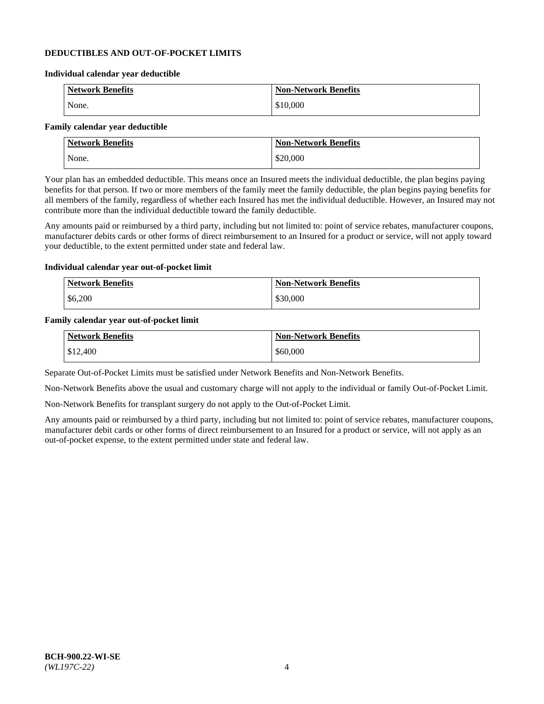### **DEDUCTIBLES AND OUT-OF-POCKET LIMITS**

### **Individual calendar year deductible**

| <b>Network Benefits</b> | <b>Non-Network Benefits</b> |
|-------------------------|-----------------------------|
| None.                   | \$10,000                    |

### **Family calendar year deductible**

| <b>Network Benefits</b> | Non-Network Benefits |
|-------------------------|----------------------|
| None.                   | \$20,000             |

Your plan has an embedded deductible. This means once an Insured meets the individual deductible, the plan begins paying benefits for that person. If two or more members of the family meet the family deductible, the plan begins paying benefits for all members of the family, regardless of whether each Insured has met the individual deductible. However, an Insured may not contribute more than the individual deductible toward the family deductible.

Any amounts paid or reimbursed by a third party, including but not limited to: point of service rebates, manufacturer coupons, manufacturer debits cards or other forms of direct reimbursement to an Insured for a product or service, will not apply toward your deductible, to the extent permitted under state and federal law.

### **Individual calendar year out-of-pocket limit**

| <b>Network Benefits</b> | <b>Non-Network Benefits</b> |
|-------------------------|-----------------------------|
| \$6,200                 | \$30,000                    |

### **Family calendar year out-of-pocket limit**

| <b>Network Benefits</b> | <b>Non-Network Benefits</b> |
|-------------------------|-----------------------------|
| \$12,400                | \$60,000                    |

Separate Out-of-Pocket Limits must be satisfied under Network Benefits and Non-Network Benefits.

Non-Network Benefits above the usual and customary charge will not apply to the individual or family Out-of-Pocket Limit.

Non-Network Benefits for transplant surgery do not apply to the Out-of-Pocket Limit.

Any amounts paid or reimbursed by a third party, including but not limited to: point of service rebates, manufacturer coupons, manufacturer debit cards or other forms of direct reimbursement to an Insured for a product or service, will not apply as an out-of-pocket expense, to the extent permitted under state and federal law.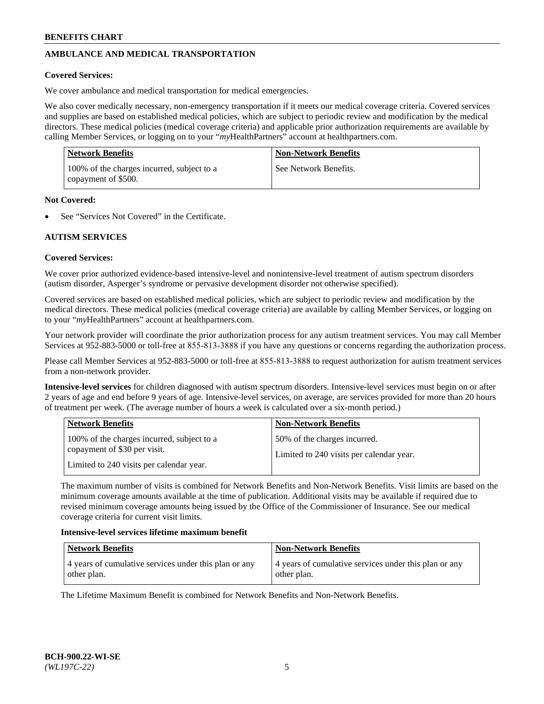# **AMBULANCE AND MEDICAL TRANSPORTATION**

### **Covered Services:**

We cover ambulance and medical transportation for medical emergencies.

We also cover medically necessary, non-emergency transportation if it meets our medical coverage criteria. Covered services and supplies are based on established medical policies, which are subject to periodic review and modification by the medical directors. These medical policies (medical coverage criteria) and applicable prior authorization requirements are available by calling Member Services, or logging on to your "*my*HealthPartners" account a[t healthpartners.com.](https://www.healthpartners.com/hp/index.html)

| Network Benefits                                                  | <b>Non-Network Benefits</b> |
|-------------------------------------------------------------------|-----------------------------|
| 100% of the charges incurred, subject to a<br>copayment of \$500. | See Network Benefits.       |

### **Not Covered:**

See "Services Not Covered" in the Certificate.

## **AUTISM SERVICES**

### **Covered Services:**

We cover prior authorized evidence-based intensive-level and nonintensive-level treatment of autism spectrum disorders (autism disorder, Asperger's syndrome or pervasive development disorder not otherwise specified).

Covered services are based on established medical policies, which are subject to periodic review and modification by the medical directors. These medical policies (medical coverage criteria) are available by calling Member Services, or logging on to your "*my*HealthPartners" account at [healthpartners.com.](https://www.healthpartners.com/hp/index.html)

Your network provider will coordinate the prior authorization process for any autism treatment services. You may call Member Services at 952-883-5000 or toll-free at 855-813-3888 if you have any questions or concerns regarding the authorization process.

Please call Member Services at 952-883-5000 or toll-free at 855-813-3888 to request authorization for autism treatment services from a non-network provider.

**Intensive-level services** for children diagnosed with autism spectrum disorders. Intensive-level services must begin on or after 2 years of age and end before 9 years of age. Intensive-level services, on average, are services provided for more than 20 hours of treatment per week. (The average number of hours a week is calculated over a six-month period.)

| <b>Network Benefits</b>                                                                                                | <b>Non-Network Benefits</b>                                              |
|------------------------------------------------------------------------------------------------------------------------|--------------------------------------------------------------------------|
| 100% of the charges incurred, subject to a<br>copayment of \$30 per visit.<br>Limited to 240 visits per calendar year. | 50% of the charges incurred.<br>Limited to 240 visits per calendar year. |
|                                                                                                                        |                                                                          |

The maximum number of visits is combined for Network Benefits and Non-Network Benefits. Visit limits are based on the minimum coverage amounts available at the time of publication. Additional visits may be available if required due to revised minimum coverage amounts being issued by the Office of the Commissioner of Insurance. See our medical coverage criteria for current visit limits.

### **Intensive-level services lifetime maximum benefit**

| <b>Network Benefits</b>                                              | <b>Non-Network Benefits</b>                                          |
|----------------------------------------------------------------------|----------------------------------------------------------------------|
| 4 years of cumulative services under this plan or any<br>other plan. | 4 years of cumulative services under this plan or any<br>other plan. |

The Lifetime Maximum Benefit is combined for Network Benefits and Non-Network Benefits.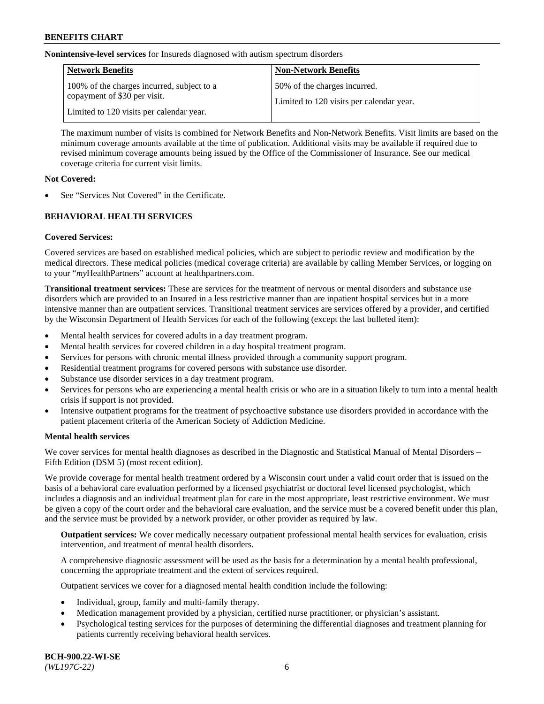### **Nonintensive-level services** for Insureds diagnosed with autism spectrum disorders

| Network Benefits                                                           | <b>Non-Network Benefits</b>                                              |
|----------------------------------------------------------------------------|--------------------------------------------------------------------------|
| 100% of the charges incurred, subject to a<br>copayment of \$30 per visit. | 50% of the charges incurred.<br>Limited to 120 visits per calendar year. |
| Limited to 120 visits per calendar year.                                   |                                                                          |

The maximum number of visits is combined for Network Benefits and Non-Network Benefits. Visit limits are based on the minimum coverage amounts available at the time of publication. Additional visits may be available if required due to revised minimum coverage amounts being issued by the Office of the Commissioner of Insurance. See our medical coverage criteria for current visit limits.

### **Not Covered:**

See "Services Not Covered" in the Certificate.

## **BEHAVIORAL HEALTH SERVICES**

## **Covered Services:**

Covered services are based on established medical policies, which are subject to periodic review and modification by the medical directors. These medical policies (medical coverage criteria) are available by calling Member Services, or logging on to your "*my*HealthPartners" account at [healthpartners.com.](https://www.healthpartners.com/hp/index.html)

**Transitional treatment services:** These are services for the treatment of nervous or mental disorders and substance use disorders which are provided to an Insured in a less restrictive manner than are inpatient hospital services but in a more intensive manner than are outpatient services. Transitional treatment services are services offered by a provider, and certified by the Wisconsin Department of Health Services for each of the following (except the last bulleted item):

- Mental health services for covered adults in a day treatment program.
- Mental health services for covered children in a day hospital treatment program.
- Services for persons with chronic mental illness provided through a community support program.
- Residential treatment programs for covered persons with substance use disorder.
- Substance use disorder services in a day treatment program.
- Services for persons who are experiencing a mental health crisis or who are in a situation likely to turn into a mental health crisis if support is not provided.
- Intensive outpatient programs for the treatment of psychoactive substance use disorders provided in accordance with the patient placement criteria of the American Society of Addiction Medicine.

### **Mental health services**

We cover services for mental health diagnoses as described in the Diagnostic and Statistical Manual of Mental Disorders – Fifth Edition (DSM 5) (most recent edition).

We provide coverage for mental health treatment ordered by a Wisconsin court under a valid court order that is issued on the basis of a behavioral care evaluation performed by a licensed psychiatrist or doctoral level licensed psychologist, which includes a diagnosis and an individual treatment plan for care in the most appropriate, least restrictive environment. We must be given a copy of the court order and the behavioral care evaluation, and the service must be a covered benefit under this plan, and the service must be provided by a network provider, or other provider as required by law.

**Outpatient services:** We cover medically necessary outpatient professional mental health services for evaluation, crisis intervention, and treatment of mental health disorders.

A comprehensive diagnostic assessment will be used as the basis for a determination by a mental health professional, concerning the appropriate treatment and the extent of services required.

Outpatient services we cover for a diagnosed mental health condition include the following:

- Individual, group, family and multi-family therapy.
- Medication management provided by a physician, certified nurse practitioner, or physician's assistant.
- Psychological testing services for the purposes of determining the differential diagnoses and treatment planning for patients currently receiving behavioral health services.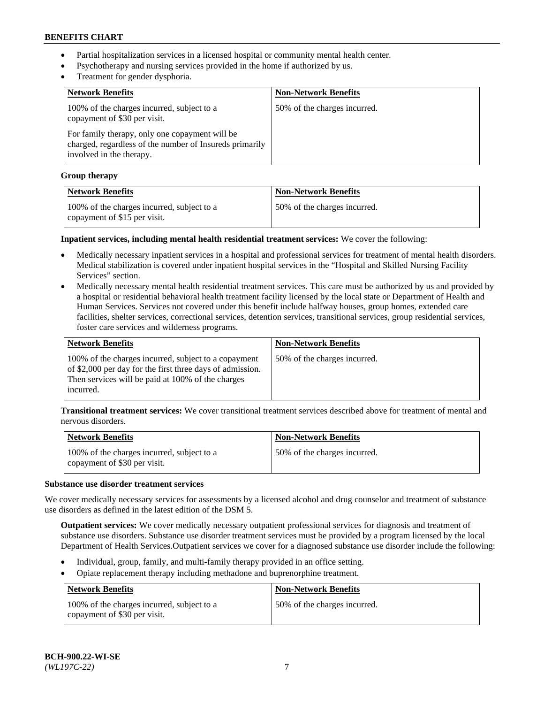- Partial hospitalization services in a licensed hospital or community mental health center.
- Psychotherapy and nursing services provided in the home if authorized by us.
- Treatment for gender dysphoria.

| <b>Network Benefits</b>                                                                                                               | <b>Non-Network Benefits</b>  |
|---------------------------------------------------------------------------------------------------------------------------------------|------------------------------|
| 100% of the charges incurred, subject to a<br>copayment of \$30 per visit.                                                            | 50% of the charges incurred. |
| For family therapy, only one copayment will be<br>charged, regardless of the number of Insureds primarily<br>involved in the therapy. |                              |

### **Group therapy**

| Network Benefits                                                           | <b>Non-Network Benefits</b>  |
|----------------------------------------------------------------------------|------------------------------|
| 100% of the charges incurred, subject to a<br>copayment of \$15 per visit. | 50% of the charges incurred. |

**Inpatient services, including mental health residential treatment services:** We cover the following:

- Medically necessary inpatient services in a hospital and professional services for treatment of mental health disorders. Medical stabilization is covered under inpatient hospital services in the "Hospital and Skilled Nursing Facility Services" section.
- Medically necessary mental health residential treatment services. This care must be authorized by us and provided by a hospital or residential behavioral health treatment facility licensed by the local state or Department of Health and Human Services. Services not covered under this benefit include halfway houses, group homes, extended care facilities, shelter services, correctional services, detention services, transitional services, group residential services, foster care services and wilderness programs.

| <b>Network Benefits</b>                                                                                                                                                             | <b>Non-Network Benefits</b>  |
|-------------------------------------------------------------------------------------------------------------------------------------------------------------------------------------|------------------------------|
| 100% of the charges incurred, subject to a copayment<br>of \$2,000 per day for the first three days of admission.<br>Then services will be paid at 100% of the charges<br>incurred. | 50% of the charges incurred. |

**Transitional treatment services:** We cover transitional treatment services described above for treatment of mental and nervous disorders.

| Network Benefits                                                           | <b>Non-Network Benefits</b>  |
|----------------------------------------------------------------------------|------------------------------|
| 100% of the charges incurred, subject to a<br>copayment of \$30 per visit. | 50% of the charges incurred. |

# **Substance use disorder treatment services**

We cover medically necessary services for assessments by a licensed alcohol and drug counselor and treatment of substance use disorders as defined in the latest edition of the DSM 5.

**Outpatient services:** We cover medically necessary outpatient professional services for diagnosis and treatment of substance use disorders. Substance use disorder treatment services must be provided by a program licensed by the local Department of Health Services.Outpatient services we cover for a diagnosed substance use disorder include the following:

- Individual, group, family, and multi-family therapy provided in an office setting.
- Opiate replacement therapy including methadone and buprenorphine treatment.

| <b>Network Benefits</b>                                                    | <b>Non-Network Benefits</b>  |
|----------------------------------------------------------------------------|------------------------------|
| 100% of the charges incurred, subject to a<br>copayment of \$30 per visit. | 50% of the charges incurred. |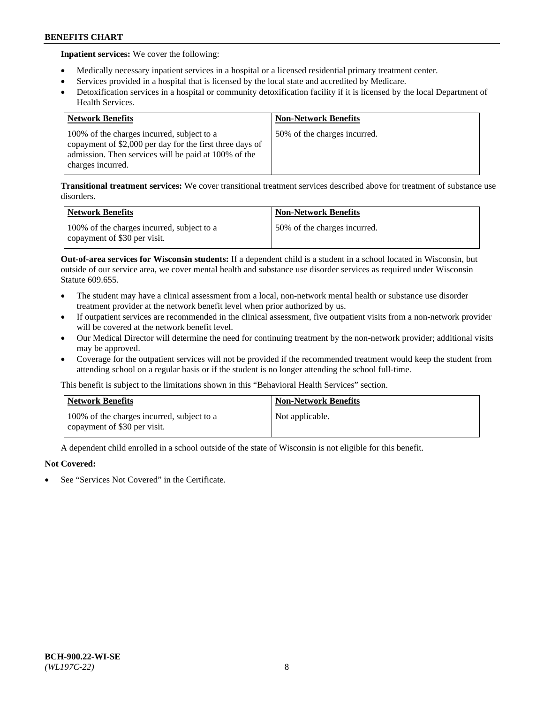**Inpatient services:** We cover the following:

- Medically necessary inpatient services in a hospital or a licensed residential primary treatment center.
- Services provided in a hospital that is licensed by the local state and accredited by Medicare.
- Detoxification services in a hospital or community detoxification facility if it is licensed by the local Department of Health Services.

| <b>Network Benefits</b>                                                                                                                                                             | <b>Non-Network Benefits</b>  |
|-------------------------------------------------------------------------------------------------------------------------------------------------------------------------------------|------------------------------|
| 100% of the charges incurred, subject to a<br>copayment of \$2,000 per day for the first three days of<br>admission. Then services will be paid at 100% of the<br>charges incurred. | 50% of the charges incurred. |

**Transitional treatment services:** We cover transitional treatment services described above for treatment of substance use disorders.

| Network Benefits                                                           | <b>Non-Network Benefits</b>  |
|----------------------------------------------------------------------------|------------------------------|
| 100% of the charges incurred, subject to a<br>copayment of \$30 per visit. | 50% of the charges incurred. |

**Out-of-area services for Wisconsin students:** If a dependent child is a student in a school located in Wisconsin, but outside of our service area, we cover mental health and substance use disorder services as required under Wisconsin Statute 609.655.

- The student may have a clinical assessment from a local, non-network mental health or substance use disorder treatment provider at the network benefit level when prior authorized by us.
- If outpatient services are recommended in the clinical assessment, five outpatient visits from a non-network provider will be covered at the network benefit level.
- Our Medical Director will determine the need for continuing treatment by the non-network provider; additional visits may be approved.
- Coverage for the outpatient services will not be provided if the recommended treatment would keep the student from attending school on a regular basis or if the student is no longer attending the school full-time.

This benefit is subject to the limitations shown in this "Behavioral Health Services" section.

| <b>Network Benefits</b>                                                    | <b>Non-Network Benefits</b> |
|----------------------------------------------------------------------------|-----------------------------|
| 100% of the charges incurred, subject to a<br>copayment of \$30 per visit. | Not applicable.             |

A dependent child enrolled in a school outside of the state of Wisconsin is not eligible for this benefit.

## **Not Covered:**

See "Services Not Covered" in the Certificate.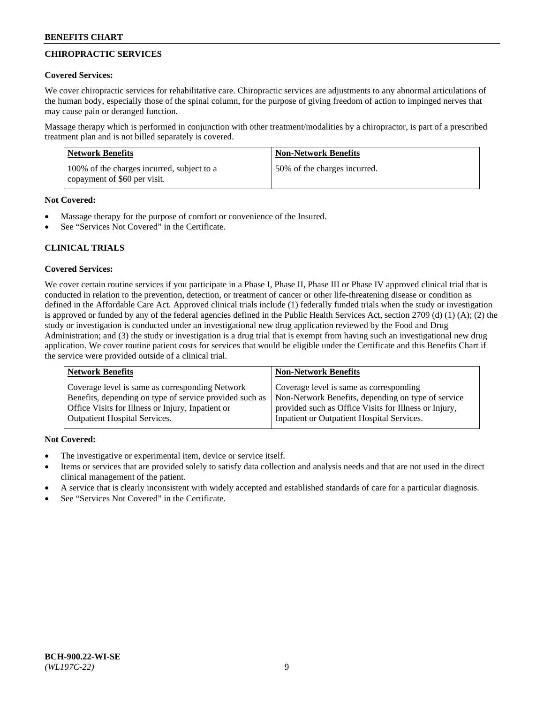# **CHIROPRACTIC SERVICES**

## **Covered Services:**

We cover chiropractic services for rehabilitative care. Chiropractic services are adjustments to any abnormal articulations of the human body, especially those of the spinal column, for the purpose of giving freedom of action to impinged nerves that may cause pain or deranged function.

Massage therapy which is performed in conjunction with other treatment/modalities by a chiropractor, is part of a prescribed treatment plan and is not billed separately is covered.

| Network Benefits                                                           | <b>Non-Network Benefits</b>  |
|----------------------------------------------------------------------------|------------------------------|
| 100% of the charges incurred, subject to a<br>copayment of \$60 per visit. | 50% of the charges incurred. |

# **Not Covered:**

- Massage therapy for the purpose of comfort or convenience of the Insured.
- See "Services Not Covered" in the Certificate.

# **CLINICAL TRIALS**

# **Covered Services:**

We cover certain routine services if you participate in a Phase I, Phase II, Phase III or Phase IV approved clinical trial that is conducted in relation to the prevention, detection, or treatment of cancer or other life-threatening disease or condition as defined in the Affordable Care Act. Approved clinical trials include (1) federally funded trials when the study or investigation is approved or funded by any of the federal agencies defined in the Public Health Services Act, section 2709 (d) (1) (A); (2) the study or investigation is conducted under an investigational new drug application reviewed by the Food and Drug Administration; and (3) the study or investigation is a drug trial that is exempt from having such an investigational new drug application. We cover routine patient costs for services that would be eligible under the Certificate and this Benefits Chart if the service were provided outside of a clinical trial.

| <b>Network Benefits</b>                                                                                                                                                                                 | <b>Non-Network Benefits</b>                                                                                                                                                                          |
|---------------------------------------------------------------------------------------------------------------------------------------------------------------------------------------------------------|------------------------------------------------------------------------------------------------------------------------------------------------------------------------------------------------------|
| Coverage level is same as corresponding Network<br>Benefits, depending on type of service provided such as<br>Office Visits for Illness or Injury, Inpatient or<br><b>Outpatient Hospital Services.</b> | Coverage level is same as corresponding<br>Non-Network Benefits, depending on type of service<br>provided such as Office Visits for Illness or Injury,<br>Inpatient or Outpatient Hospital Services. |
|                                                                                                                                                                                                         |                                                                                                                                                                                                      |

# **Not Covered:**

- The investigative or experimental item, device or service itself.
- Items or services that are provided solely to satisfy data collection and analysis needs and that are not used in the direct clinical management of the patient.
- A service that is clearly inconsistent with widely accepted and established standards of care for a particular diagnosis.
- See "Services Not Covered" in the Certificate.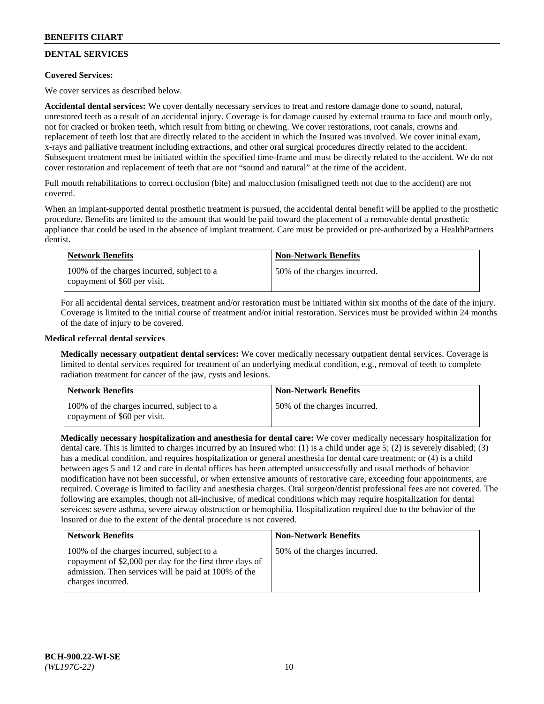# **DENTAL SERVICES**

## **Covered Services:**

We cover services as described below.

**Accidental dental services:** We cover dentally necessary services to treat and restore damage done to sound, natural, unrestored teeth as a result of an accidental injury. Coverage is for damage caused by external trauma to face and mouth only, not for cracked or broken teeth, which result from biting or chewing. We cover restorations, root canals, crowns and replacement of teeth lost that are directly related to the accident in which the Insured was involved. We cover initial exam, x-rays and palliative treatment including extractions, and other oral surgical procedures directly related to the accident. Subsequent treatment must be initiated within the specified time-frame and must be directly related to the accident. We do not cover restoration and replacement of teeth that are not "sound and natural" at the time of the accident.

Full mouth rehabilitations to correct occlusion (bite) and malocclusion (misaligned teeth not due to the accident) are not covered.

When an implant-supported dental prosthetic treatment is pursued, the accidental dental benefit will be applied to the prosthetic procedure. Benefits are limited to the amount that would be paid toward the placement of a removable dental prosthetic appliance that could be used in the absence of implant treatment. Care must be provided or pre-authorized by a HealthPartners dentist.

| <b>Network Benefits</b>                                                    | <b>Non-Network Benefits</b>  |
|----------------------------------------------------------------------------|------------------------------|
| 100% of the charges incurred, subject to a<br>copayment of \$60 per visit. | 50% of the charges incurred. |

For all accidental dental services, treatment and/or restoration must be initiated within six months of the date of the injury. Coverage is limited to the initial course of treatment and/or initial restoration. Services must be provided within 24 months of the date of injury to be covered.

## **Medical referral dental services**

**Medically necessary outpatient dental services:** We cover medically necessary outpatient dental services. Coverage is limited to dental services required for treatment of an underlying medical condition, e.g., removal of teeth to complete radiation treatment for cancer of the jaw, cysts and lesions.

| <b>Network Benefits</b>                                                    | <b>Non-Network Benefits</b>  |
|----------------------------------------------------------------------------|------------------------------|
| 100% of the charges incurred, subject to a<br>copayment of \$60 per visit. | 50% of the charges incurred. |

**Medically necessary hospitalization and anesthesia for dental care:** We cover medically necessary hospitalization for dental care. This is limited to charges incurred by an Insured who: (1) is a child under age 5; (2) is severely disabled; (3) has a medical condition, and requires hospitalization or general anesthesia for dental care treatment; or (4) is a child between ages 5 and 12 and care in dental offices has been attempted unsuccessfully and usual methods of behavior modification have not been successful, or when extensive amounts of restorative care, exceeding four appointments, are required. Coverage is limited to facility and anesthesia charges. Oral surgeon/dentist professional fees are not covered. The following are examples, though not all-inclusive, of medical conditions which may require hospitalization for dental services: severe asthma, severe airway obstruction or hemophilia. Hospitalization required due to the behavior of the Insured or due to the extent of the dental procedure is not covered.

| <b>Network Benefits</b>                                                                                                                                                             | <b>Non-Network Benefits</b>  |
|-------------------------------------------------------------------------------------------------------------------------------------------------------------------------------------|------------------------------|
| 100% of the charges incurred, subject to a<br>copayment of \$2,000 per day for the first three days of<br>admission. Then services will be paid at 100% of the<br>charges incurred. | 50% of the charges incurred. |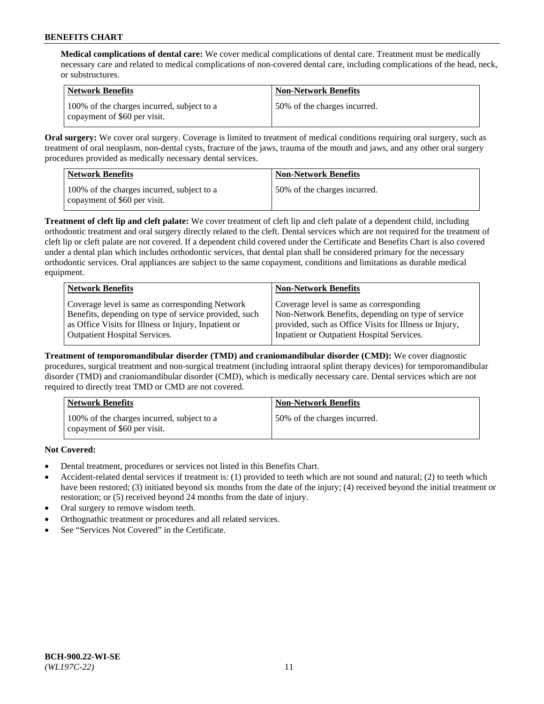**Medical complications of dental care:** We cover medical complications of dental care. Treatment must be medically necessary care and related to medical complications of non-covered dental care, including complications of the head, neck, or substructures.

| <b>Network Benefits</b>                                                    | <b>Non-Network Benefits</b>  |
|----------------------------------------------------------------------------|------------------------------|
| 100% of the charges incurred, subject to a<br>copayment of \$60 per visit. | 50% of the charges incurred. |

**Oral surgery:** We cover oral surgery. Coverage is limited to treatment of medical conditions requiring oral surgery, such as treatment of oral neoplasm, non-dental cysts, fracture of the jaws, trauma of the mouth and jaws, and any other oral surgery procedures provided as medically necessary dental services.

| <b>Network Benefits</b>                                                    | <b>Non-Network Benefits</b>  |
|----------------------------------------------------------------------------|------------------------------|
| 100% of the charges incurred, subject to a<br>copayment of \$60 per visit. | 50% of the charges incurred. |

**Treatment of cleft lip and cleft palate:** We cover treatment of cleft lip and cleft palate of a dependent child, including orthodontic treatment and oral surgery directly related to the cleft. Dental services which are not required for the treatment of cleft lip or cleft palate are not covered. If a dependent child covered under the Certificate and Benefits Chart is also covered under a dental plan which includes orthodontic services, that dental plan shall be considered primary for the necessary orthodontic services. Oral appliances are subject to the same copayment, conditions and limitations as durable medical equipment.

| <b>Network Benefits</b>                               | <b>Non-Network Benefits</b>                            |
|-------------------------------------------------------|--------------------------------------------------------|
| Coverage level is same as corresponding Network       | Coverage level is same as corresponding                |
| Benefits, depending on type of service provided, such | Non-Network Benefits, depending on type of service     |
| as Office Visits for Illness or Injury, Inpatient or  | provided, such as Office Visits for Illness or Injury, |
| <b>Outpatient Hospital Services.</b>                  | Inpatient or Outpatient Hospital Services.             |

**Treatment of temporomandibular disorder (TMD) and craniomandibular disorder (CMD):** We cover diagnostic procedures, surgical treatment and non-surgical treatment (including intraoral splint therapy devices) for temporomandibular disorder (TMD) and craniomandibular disorder (CMD), which is medically necessary care. Dental services which are not required to directly treat TMD or CMD are not covered.

| Network Benefits                                                           | <b>Non-Network Benefits</b>  |
|----------------------------------------------------------------------------|------------------------------|
| 100% of the charges incurred, subject to a<br>copayment of \$60 per visit. | 50% of the charges incurred. |

## **Not Covered:**

- Dental treatment, procedures or services not listed in this Benefits Chart.
- Accident-related dental services if treatment is: (1) provided to teeth which are not sound and natural; (2) to teeth which have been restored; (3) initiated beyond six months from the date of the injury; (4) received beyond the initial treatment or restoration; or (5) received beyond 24 months from the date of injury.
- Oral surgery to remove wisdom teeth.
- Orthognathic treatment or procedures and all related services.
- See "Services Not Covered" in the Certificate.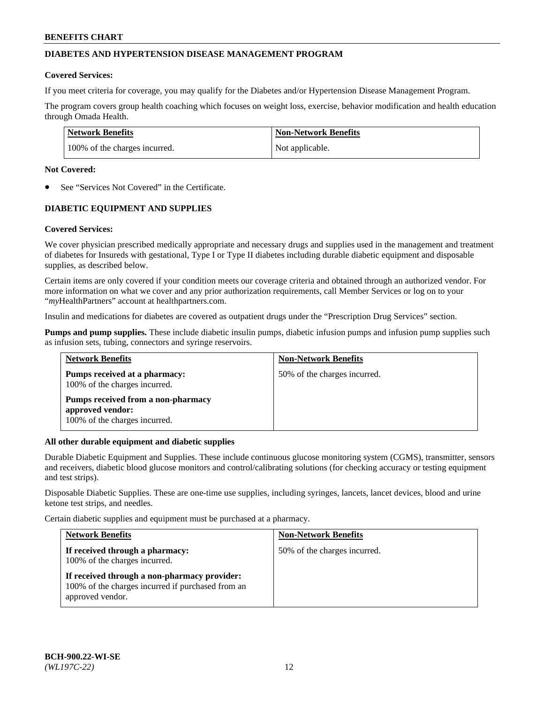# **DIABETES AND HYPERTENSION DISEASE MANAGEMENT PROGRAM**

### **Covered Services:**

If you meet criteria for coverage, you may qualify for the Diabetes and/or Hypertension Disease Management Program.

The program covers group health coaching which focuses on weight loss, exercise, behavior modification and health education through Omada Health.

| <b>Network Benefits</b>       | <b>Non-Network Benefits</b> |
|-------------------------------|-----------------------------|
| 100% of the charges incurred. | Not applicable.             |

## **Not Covered:**

See "Services Not Covered" in the Certificate.

# **DIABETIC EQUIPMENT AND SUPPLIES**

### **Covered Services:**

We cover physician prescribed medically appropriate and necessary drugs and supplies used in the management and treatment of diabetes for Insureds with gestational, Type I or Type II diabetes including durable diabetic equipment and disposable supplies, as described below.

Certain items are only covered if your condition meets our coverage criteria and obtained through an authorized vendor. For more information on what we cover and any prior authorization requirements, call Member Services or log on to your "*my*HealthPartners" account at [healthpartners.com.](http://www.healthpartners.com/)

Insulin and medications for diabetes are covered as outpatient drugs under the "Prescription Drug Services" section.

**Pumps and pump supplies.** These include diabetic insulin pumps, diabetic infusion pumps and infusion pump supplies such as infusion sets, tubing, connectors and syringe reservoirs.

| <b>Network Benefits</b>                                                                 | <b>Non-Network Benefits</b>  |
|-----------------------------------------------------------------------------------------|------------------------------|
| <b>Pumps received at a pharmacy:</b><br>100% of the charges incurred.                   | 50% of the charges incurred. |
| Pumps received from a non-pharmacy<br>approved vendor:<br>100% of the charges incurred. |                              |

### **All other durable equipment and diabetic supplies**

Durable Diabetic Equipment and Supplies. These include continuous glucose monitoring system (CGMS), transmitter, sensors and receivers, diabetic blood glucose monitors and control/calibrating solutions (for checking accuracy or testing equipment and test strips).

Disposable Diabetic Supplies. These are one-time use supplies, including syringes, lancets, lancet devices, blood and urine ketone test strips, and needles.

Certain diabetic supplies and equipment must be purchased at a pharmacy.

| <b>Network Benefits</b>                                                                                               | <b>Non-Network Benefits</b>  |
|-----------------------------------------------------------------------------------------------------------------------|------------------------------|
| If received through a pharmacy:<br>100% of the charges incurred.                                                      | 50% of the charges incurred. |
| If received through a non-pharmacy provider:<br>100% of the charges incurred if purchased from an<br>approved vendor. |                              |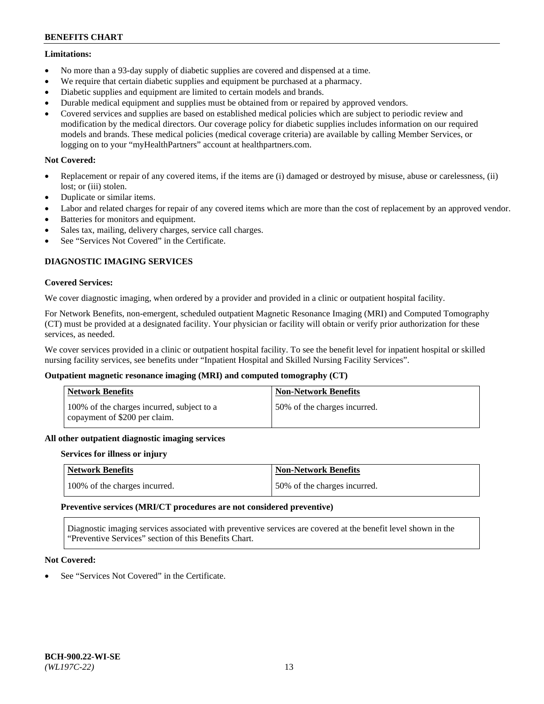### **Limitations:**

- No more than a 93-day supply of diabetic supplies are covered and dispensed at a time.
- We require that certain diabetic supplies and equipment be purchased at a pharmacy.
- Diabetic supplies and equipment are limited to certain models and brands.
- Durable medical equipment and supplies must be obtained from or repaired by approved vendors.
- Covered services and supplies are based on established medical policies which are subject to periodic review and modification by the medical directors. Our coverage policy for diabetic supplies includes information on our required models and brands. These medical policies (medical coverage criteria) are available by calling Member Services, or logging on to your "myHealthPartners" account at [healthpartners.com.](http://www.healthpartners.com/)

## **Not Covered:**

- Replacement or repair of any covered items, if the items are (i) damaged or destroyed by misuse, abuse or carelessness, (ii) lost; or (iii) stolen.
- Duplicate or similar items.
- Labor and related charges for repair of any covered items which are more than the cost of replacement by an approved vendor.
- Batteries for monitors and equipment.
- Sales tax, mailing, delivery charges, service call charges.
- See "Services Not Covered" in the Certificate.

## **DIAGNOSTIC IMAGING SERVICES**

### **Covered Services:**

We cover diagnostic imaging, when ordered by a provider and provided in a clinic or outpatient hospital facility.

For Network Benefits, non-emergent, scheduled outpatient Magnetic Resonance Imaging (MRI) and Computed Tomography (CT) must be provided at a designated facility. Your physician or facility will obtain or verify prior authorization for these services, as needed.

We cover services provided in a clinic or outpatient hospital facility. To see the benefit level for inpatient hospital or skilled nursing facility services, see benefits under "Inpatient Hospital and Skilled Nursing Facility Services".

## **Outpatient magnetic resonance imaging (MRI) and computed tomography (CT)**

| <b>Network Benefits</b>                                                     | <b>Non-Network Benefits</b>  |
|-----------------------------------------------------------------------------|------------------------------|
| 100% of the charges incurred, subject to a<br>copayment of \$200 per claim. | 50% of the charges incurred. |

### **All other outpatient diagnostic imaging services**

### **Services for illness or injury**

| <b>Network Benefits</b>       | <b>Non-Network Benefits</b>  |
|-------------------------------|------------------------------|
| 100% of the charges incurred. | 50% of the charges incurred. |

### **Preventive services (MRI/CT procedures are not considered preventive)**

Diagnostic imaging services associated with preventive services are covered at the benefit level shown in the "Preventive Services" section of this Benefits Chart.

### **Not Covered:**

See "Services Not Covered" in the Certificate.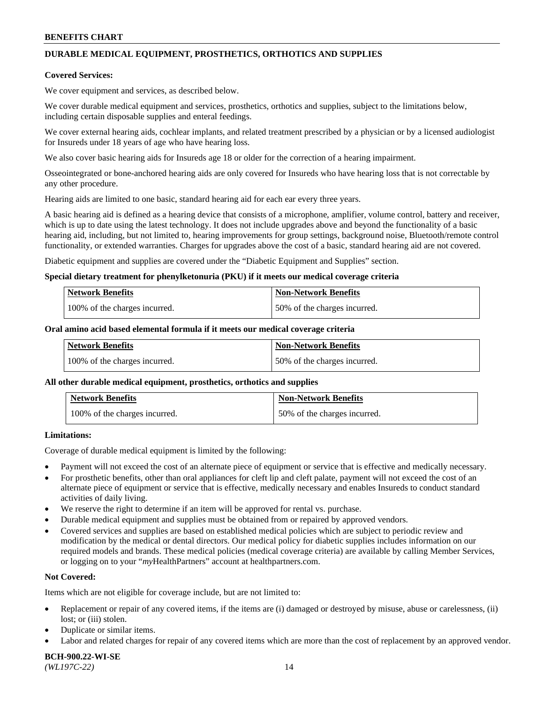# **DURABLE MEDICAL EQUIPMENT, PROSTHETICS, ORTHOTICS AND SUPPLIES**

### **Covered Services:**

We cover equipment and services, as described below.

We cover durable medical equipment and services, prosthetics, orthotics and supplies, subject to the limitations below, including certain disposable supplies and enteral feedings.

We cover external hearing aids, cochlear implants, and related treatment prescribed by a physician or by a licensed audiologist for Insureds under 18 years of age who have hearing loss.

We also cover basic hearing aids for Insureds age 18 or older for the correction of a hearing impairment.

Osseointegrated or bone-anchored hearing aids are only covered for Insureds who have hearing loss that is not correctable by any other procedure.

Hearing aids are limited to one basic, standard hearing aid for each ear every three years.

A basic hearing aid is defined as a hearing device that consists of a microphone, amplifier, volume control, battery and receiver, which is up to date using the latest technology. It does not include upgrades above and beyond the functionality of a basic hearing aid, including, but not limited to, hearing improvements for group settings, background noise, Bluetooth/remote control functionality, or extended warranties. Charges for upgrades above the cost of a basic, standard hearing aid are not covered.

Diabetic equipment and supplies are covered under the "Diabetic Equipment and Supplies" section.

### **Special dietary treatment for phenylketonuria (PKU) if it meets our medical coverage criteria**

| Network Benefits              | Non-Network Benefits         |
|-------------------------------|------------------------------|
| 100% of the charges incurred. | 50% of the charges incurred. |

### **Oral amino acid based elemental formula if it meets our medical coverage criteria**

| Network Benefits              | <b>Non-Network Benefits</b>  |
|-------------------------------|------------------------------|
| 100% of the charges incurred. | 50% of the charges incurred. |

### **All other durable medical equipment, prosthetics, orthotics and supplies**

| <b>Network Benefits</b>       | <b>Non-Network Benefits</b>  |
|-------------------------------|------------------------------|
| 100% of the charges incurred. | 50% of the charges incurred. |

## **Limitations:**

Coverage of durable medical equipment is limited by the following:

- Payment will not exceed the cost of an alternate piece of equipment or service that is effective and medically necessary.
- For prosthetic benefits, other than oral appliances for cleft lip and cleft palate, payment will not exceed the cost of an alternate piece of equipment or service that is effective, medically necessary and enables Insureds to conduct standard activities of daily living.
- We reserve the right to determine if an item will be approved for rental vs. purchase.
- Durable medical equipment and supplies must be obtained from or repaired by approved vendors.
- Covered services and supplies are based on established medical policies which are subject to periodic review and modification by the medical or dental directors. Our medical policy for diabetic supplies includes information on our required models and brands. These medical policies (medical coverage criteria) are available by calling Member Services, or logging on to your "*my*HealthPartners" account a[t healthpartners.com.](http://www.healthpartners.com/)

## **Not Covered:**

Items which are not eligible for coverage include, but are not limited to:

- Replacement or repair of any covered items, if the items are (i) damaged or destroyed by misuse, abuse or carelessness, (ii) lost; or (iii) stolen.
- Duplicate or similar items.
- Labor and related charges for repair of any covered items which are more than the cost of replacement by an approved vendor.

**BCH-900.22-WI-SE**  *(WL197C-22)* 14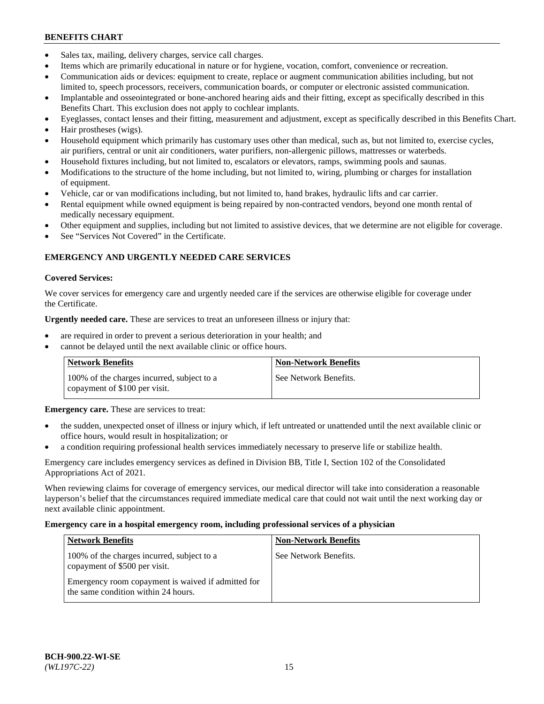- Sales tax, mailing, delivery charges, service call charges.
- Items which are primarily educational in nature or for hygiene, vocation, comfort, convenience or recreation.
- Communication aids or devices: equipment to create, replace or augment communication abilities including, but not limited to, speech processors, receivers, communication boards, or computer or electronic assisted communication.
- Implantable and osseointegrated or bone-anchored hearing aids and their fitting, except as specifically described in this Benefits Chart. This exclusion does not apply to cochlear implants.
- Eyeglasses, contact lenses and their fitting, measurement and adjustment, except as specifically described in this Benefits Chart.
- Hair prostheses (wigs).
- Household equipment which primarily has customary uses other than medical, such as, but not limited to, exercise cycles, air purifiers, central or unit air conditioners, water purifiers, non-allergenic pillows, mattresses or waterbeds.
- Household fixtures including, but not limited to, escalators or elevators, ramps, swimming pools and saunas.
- Modifications to the structure of the home including, but not limited to, wiring, plumbing or charges for installation of equipment.
- Vehicle, car or van modifications including, but not limited to, hand brakes, hydraulic lifts and car carrier.
- Rental equipment while owned equipment is being repaired by non-contracted vendors, beyond one month rental of medically necessary equipment.
- Other equipment and supplies, including but not limited to assistive devices, that we determine are not eligible for coverage.
- See "Services Not Covered" in the Certificate.

# **EMERGENCY AND URGENTLY NEEDED CARE SERVICES**

### **Covered Services:**

We cover services for emergency care and urgently needed care if the services are otherwise eligible for coverage under the Certificate.

**Urgently needed care.** These are services to treat an unforeseen illness or injury that:

- are required in order to prevent a serious deterioration in your health; and
- cannot be delayed until the next available clinic or office hours.

| <b>Network Benefits</b>                                                     | Non-Network Benefits  |
|-----------------------------------------------------------------------------|-----------------------|
| 100% of the charges incurred, subject to a<br>copayment of \$100 per visit. | See Network Benefits. |

**Emergency care.** These are services to treat:

- the sudden, unexpected onset of illness or injury which, if left untreated or unattended until the next available clinic or office hours, would result in hospitalization; or
- a condition requiring professional health services immediately necessary to preserve life or stabilize health.

Emergency care includes emergency services as defined in Division BB, Title I, Section 102 of the Consolidated Appropriations Act of 2021.

When reviewing claims for coverage of emergency services, our medical director will take into consideration a reasonable layperson's belief that the circumstances required immediate medical care that could not wait until the next working day or next available clinic appointment.

### **Emergency care in a hospital emergency room, including professional services of a physician**

| <b>Network Benefits</b>                                                                   | <b>Non-Network Benefits</b> |
|-------------------------------------------------------------------------------------------|-----------------------------|
| 100% of the charges incurred, subject to a<br>copayment of \$500 per visit.               | See Network Benefits.       |
| Emergency room copayment is waived if admitted for<br>the same condition within 24 hours. |                             |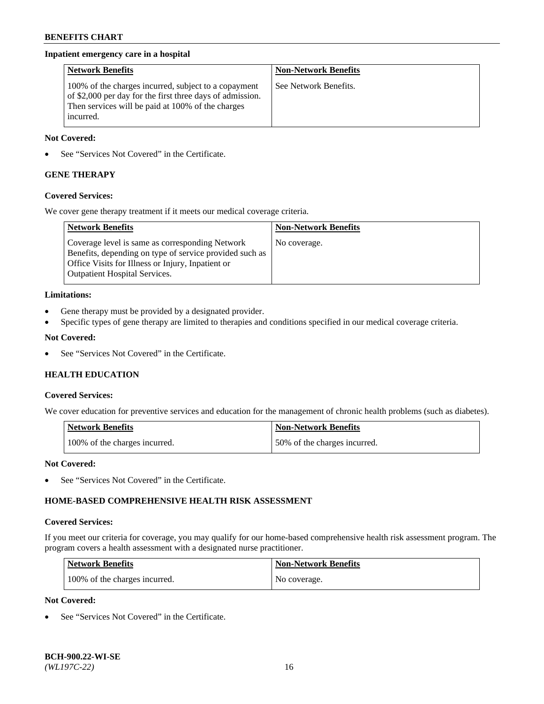## **Inpatient emergency care in a hospital**

| <b>Network Benefits</b>                                                                                                                                                             | <b>Non-Network Benefits</b> |
|-------------------------------------------------------------------------------------------------------------------------------------------------------------------------------------|-----------------------------|
| 100% of the charges incurred, subject to a copayment<br>of \$2,000 per day for the first three days of admission.<br>Then services will be paid at 100% of the charges<br>incurred. | See Network Benefits.       |

### **Not Covered:**

See "Services Not Covered" in the Certificate.

# **GENE THERAPY**

## **Covered Services:**

We cover gene therapy treatment if it meets our medical coverage criteria.

| <b>Network Benefits</b>                                                                                                                                                                                 | <b>Non-Network Benefits</b> |
|---------------------------------------------------------------------------------------------------------------------------------------------------------------------------------------------------------|-----------------------------|
| Coverage level is same as corresponding Network<br>Benefits, depending on type of service provided such as<br>Office Visits for Illness or Injury, Inpatient or<br><b>Outpatient Hospital Services.</b> | No coverage.                |

## **Limitations:**

- Gene therapy must be provided by a designated provider.
- Specific types of gene therapy are limited to therapies and conditions specified in our medical coverage criteria.

### **Not Covered:**

• See "Services Not Covered" in the Certificate.

# **HEALTH EDUCATION**

### **Covered Services:**

We cover education for preventive services and education for the management of chronic health problems (such as diabetes).

| <b>Network Benefits</b>       | <b>Non-Network Benefits</b>  |
|-------------------------------|------------------------------|
| 100% of the charges incurred. | 50% of the charges incurred. |

## **Not Covered:**

See "Services Not Covered" in the Certificate.

# **HOME-BASED COMPREHENSIVE HEALTH RISK ASSESSMENT**

### **Covered Services:**

If you meet our criteria for coverage, you may qualify for our home-based comprehensive health risk assessment program. The program covers a health assessment with a designated nurse practitioner.

| <b>Network Benefits</b>       | <b>Non-Network Benefits</b> |
|-------------------------------|-----------------------------|
| 100% of the charges incurred. | No coverage.                |

### **Not Covered:**

See "Services Not Covered" in the Certificate.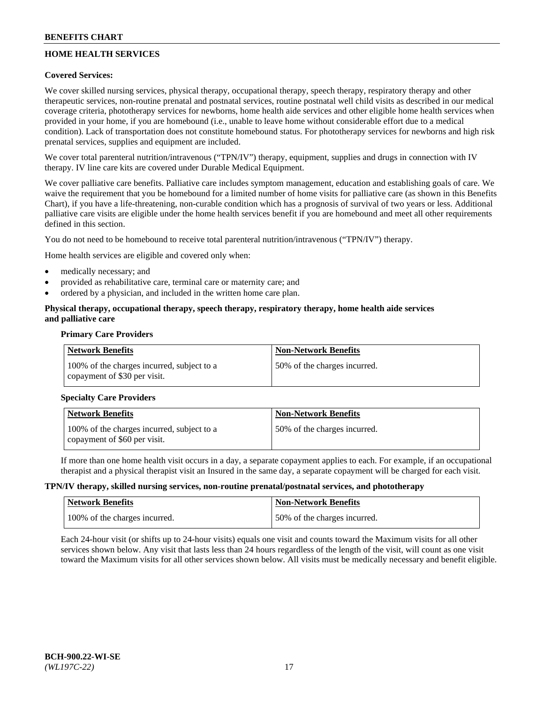# **HOME HEALTH SERVICES**

## **Covered Services:**

We cover skilled nursing services, physical therapy, occupational therapy, speech therapy, respiratory therapy and other therapeutic services, non-routine prenatal and postnatal services, routine postnatal well child visits as described in our medical coverage criteria, phototherapy services for newborns, home health aide services and other eligible home health services when provided in your home, if you are homebound (i.e., unable to leave home without considerable effort due to a medical condition). Lack of transportation does not constitute homebound status. For phototherapy services for newborns and high risk prenatal services, supplies and equipment are included.

We cover total parenteral nutrition/intravenous ("TPN/IV") therapy, equipment, supplies and drugs in connection with IV therapy. IV line care kits are covered under Durable Medical Equipment.

We cover palliative care benefits. Palliative care includes symptom management, education and establishing goals of care. We waive the requirement that you be homebound for a limited number of home visits for palliative care (as shown in this Benefits Chart), if you have a life-threatening, non-curable condition which has a prognosis of survival of two years or less. Additional palliative care visits are eligible under the home health services benefit if you are homebound and meet all other requirements defined in this section.

You do not need to be homebound to receive total parenteral nutrition/intravenous ("TPN/IV") therapy.

Home health services are eligible and covered only when:

- medically necessary; and
- provided as rehabilitative care, terminal care or maternity care; and
- ordered by a physician, and included in the written home care plan.

## **Physical therapy, occupational therapy, speech therapy, respiratory therapy, home health aide services and palliative care**

## **Primary Care Providers**

| <b>Network Benefits</b>                                                    | <b>Non-Network Benefits</b>  |
|----------------------------------------------------------------------------|------------------------------|
| 100% of the charges incurred, subject to a<br>copayment of \$30 per visit. | 50% of the charges incurred. |

## **Specialty Care Providers**

| <b>Network Benefits</b>                                                    | <b>Non-Network Benefits</b>  |
|----------------------------------------------------------------------------|------------------------------|
| 100% of the charges incurred, subject to a<br>copayment of \$60 per visit. | 50% of the charges incurred. |

If more than one home health visit occurs in a day, a separate copayment applies to each. For example, if an occupational therapist and a physical therapist visit an Insured in the same day, a separate copayment will be charged for each visit.

### **TPN/IV therapy, skilled nursing services, non-routine prenatal/postnatal services, and phototherapy**

| Network Benefits              | <b>Non-Network Benefits</b>  |
|-------------------------------|------------------------------|
| 100% of the charges incurred. | 50% of the charges incurred. |

Each 24-hour visit (or shifts up to 24-hour visits) equals one visit and counts toward the Maximum visits for all other services shown below. Any visit that lasts less than 24 hours regardless of the length of the visit, will count as one visit toward the Maximum visits for all other services shown below. All visits must be medically necessary and benefit eligible.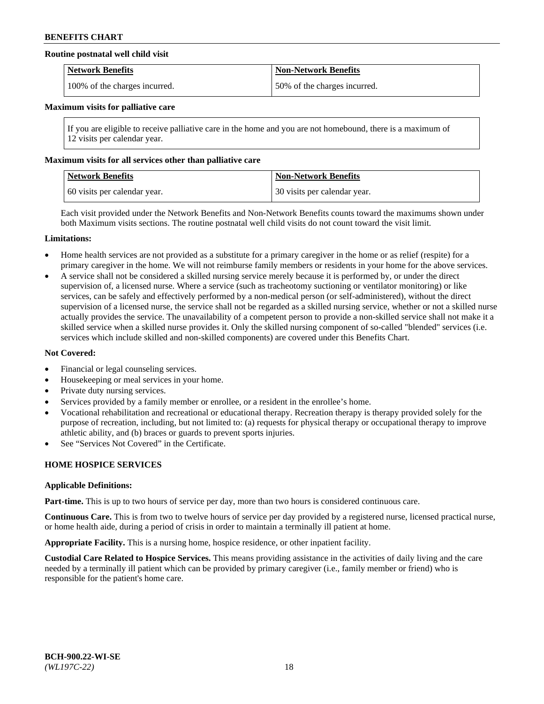### **Routine postnatal well child visit**

| <b>Network Benefits</b>       | <b>Non-Network Benefits</b>  |
|-------------------------------|------------------------------|
| 100% of the charges incurred. | 50% of the charges incurred. |

### **Maximum visits for palliative care**

If you are eligible to receive palliative care in the home and you are not homebound, there is a maximum of 12 visits per calendar year.

## **Maximum visits for all services other than palliative care**

| <b>Network Benefits</b>      | <b>Non-Network Benefits</b>    |
|------------------------------|--------------------------------|
| 60 visits per calendar year. | 1.30 visits per calendar year. |

Each visit provided under the Network Benefits and Non-Network Benefits counts toward the maximums shown under both Maximum visits sections. The routine postnatal well child visits do not count toward the visit limit.

### **Limitations:**

- Home health services are not provided as a substitute for a primary caregiver in the home or as relief (respite) for a primary caregiver in the home. We will not reimburse family members or residents in your home for the above services.
- A service shall not be considered a skilled nursing service merely because it is performed by, or under the direct supervision of, a licensed nurse. Where a service (such as tracheotomy suctioning or ventilator monitoring) or like services, can be safely and effectively performed by a non-medical person (or self-administered), without the direct supervision of a licensed nurse, the service shall not be regarded as a skilled nursing service, whether or not a skilled nurse actually provides the service. The unavailability of a competent person to provide a non-skilled service shall not make it a skilled service when a skilled nurse provides it. Only the skilled nursing component of so-called "blended" services (i.e. services which include skilled and non-skilled components) are covered under this Benefits Chart.

### **Not Covered:**

- Financial or legal counseling services.
- Housekeeping or meal services in your home.
- Private duty nursing services.
- Services provided by a family member or enrollee, or a resident in the enrollee's home.
- Vocational rehabilitation and recreational or educational therapy. Recreation therapy is therapy provided solely for the purpose of recreation, including, but not limited to: (a) requests for physical therapy or occupational therapy to improve athletic ability, and (b) braces or guards to prevent sports injuries.
- See "Services Not Covered" in the Certificate.

## **HOME HOSPICE SERVICES**

### **Applicable Definitions:**

**Part-time.** This is up to two hours of service per day, more than two hours is considered continuous care.

**Continuous Care.** This is from two to twelve hours of service per day provided by a registered nurse, licensed practical nurse, or home health aide, during a period of crisis in order to maintain a terminally ill patient at home.

**Appropriate Facility.** This is a nursing home, hospice residence, or other inpatient facility.

**Custodial Care Related to Hospice Services.** This means providing assistance in the activities of daily living and the care needed by a terminally ill patient which can be provided by primary caregiver (i.e., family member or friend) who is responsible for the patient's home care.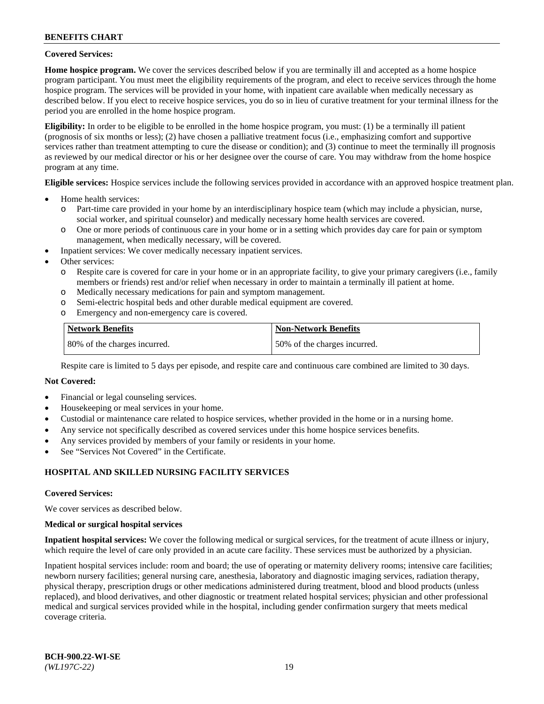### **Covered Services:**

**Home hospice program.** We cover the services described below if you are terminally ill and accepted as a home hospice program participant. You must meet the eligibility requirements of the program, and elect to receive services through the home hospice program. The services will be provided in your home, with inpatient care available when medically necessary as described below. If you elect to receive hospice services, you do so in lieu of curative treatment for your terminal illness for the period you are enrolled in the home hospice program.

**Eligibility:** In order to be eligible to be enrolled in the home hospice program, you must: (1) be a terminally ill patient (prognosis of six months or less); (2) have chosen a palliative treatment focus (i.e., emphasizing comfort and supportive services rather than treatment attempting to cure the disease or condition); and (3) continue to meet the terminally ill prognosis as reviewed by our medical director or his or her designee over the course of care. You may withdraw from the home hospice program at any time.

**Eligible services:** Hospice services include the following services provided in accordance with an approved hospice treatment plan.

- Home health services:
	- o Part-time care provided in your home by an interdisciplinary hospice team (which may include a physician, nurse, social worker, and spiritual counselor) and medically necessary home health services are covered.
	- o One or more periods of continuous care in your home or in a setting which provides day care for pain or symptom management, when medically necessary, will be covered.
- Inpatient services: We cover medically necessary inpatient services.
- Other services:
	- o Respite care is covered for care in your home or in an appropriate facility, to give your primary caregivers (i.e., family members or friends) rest and/or relief when necessary in order to maintain a terminally ill patient at home.
	- o Medically necessary medications for pain and symptom management.
	- o Semi-electric hospital beds and other durable medical equipment are covered.
	- Emergency and non-emergency care is covered.

| Network Benefits             | Non-Network Benefits         |
|------------------------------|------------------------------|
| 80% of the charges incurred. | 50% of the charges incurred. |

Respite care is limited to 5 days per episode, and respite care and continuous care combined are limited to 30 days.

# **Not Covered:**

- Financial or legal counseling services.
- Housekeeping or meal services in your home.
- Custodial or maintenance care related to hospice services, whether provided in the home or in a nursing home.
- Any service not specifically described as covered services under this home hospice services benefits.
- Any services provided by members of your family or residents in your home.
- See "Services Not Covered" in the Certificate.

## **HOSPITAL AND SKILLED NURSING FACILITY SERVICES**

### **Covered Services:**

We cover services as described below.

### **Medical or surgical hospital services**

**Inpatient hospital services:** We cover the following medical or surgical services, for the treatment of acute illness or injury, which require the level of care only provided in an acute care facility. These services must be authorized by a physician.

Inpatient hospital services include: room and board; the use of operating or maternity delivery rooms; intensive care facilities; newborn nursery facilities; general nursing care, anesthesia, laboratory and diagnostic imaging services, radiation therapy, physical therapy, prescription drugs or other medications administered during treatment, blood and blood products (unless replaced), and blood derivatives, and other diagnostic or treatment related hospital services; physician and other professional medical and surgical services provided while in the hospital, including gender confirmation surgery that meets medical coverage criteria.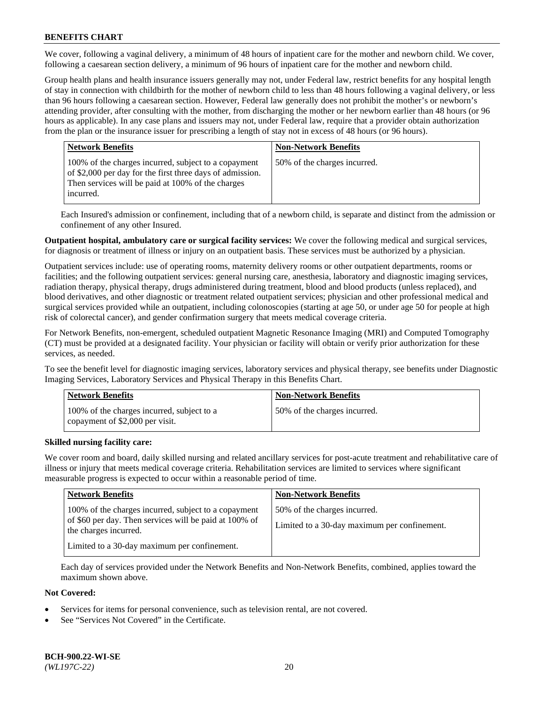We cover, following a vaginal delivery, a minimum of 48 hours of inpatient care for the mother and newborn child. We cover, following a caesarean section delivery, a minimum of 96 hours of inpatient care for the mother and newborn child.

Group health plans and health insurance issuers generally may not, under Federal law, restrict benefits for any hospital length of stay in connection with childbirth for the mother of newborn child to less than 48 hours following a vaginal delivery, or less than 96 hours following a caesarean section. However, Federal law generally does not prohibit the mother's or newborn's attending provider, after consulting with the mother, from discharging the mother or her newborn earlier than 48 hours (or 96 hours as applicable). In any case plans and issuers may not, under Federal law, require that a provider obtain authorization from the plan or the insurance issuer for prescribing a length of stay not in excess of 48 hours (or 96 hours).

| <b>Network Benefits</b>                                                                                                                                                             | <b>Non-Network Benefits</b>  |
|-------------------------------------------------------------------------------------------------------------------------------------------------------------------------------------|------------------------------|
| 100% of the charges incurred, subject to a copayment<br>of \$2,000 per day for the first three days of admission.<br>Then services will be paid at 100% of the charges<br>incurred. | 50% of the charges incurred. |

Each Insured's admission or confinement, including that of a newborn child, is separate and distinct from the admission or confinement of any other Insured.

**Outpatient hospital, ambulatory care or surgical facility services:** We cover the following medical and surgical services, for diagnosis or treatment of illness or injury on an outpatient basis. These services must be authorized by a physician.

Outpatient services include: use of operating rooms, maternity delivery rooms or other outpatient departments, rooms or facilities; and the following outpatient services: general nursing care, anesthesia, laboratory and diagnostic imaging services, radiation therapy, physical therapy, drugs administered during treatment, blood and blood products (unless replaced), and blood derivatives, and other diagnostic or treatment related outpatient services; physician and other professional medical and surgical services provided while an outpatient, including colonoscopies (starting at age 50, or under age 50 for people at high risk of colorectal cancer), and gender confirmation surgery that meets medical coverage criteria.

For Network Benefits, non-emergent, scheduled outpatient Magnetic Resonance Imaging (MRI) and Computed Tomography (CT) must be provided at a designated facility. Your physician or facility will obtain or verify prior authorization for these services, as needed.

To see the benefit level for diagnostic imaging services, laboratory services and physical therapy, see benefits under Diagnostic Imaging Services, Laboratory Services and Physical Therapy in this Benefits Chart.

| Network Benefits                                                              | <b>Non-Network Benefits</b>  |
|-------------------------------------------------------------------------------|------------------------------|
| 100% of the charges incurred, subject to a<br>copayment of \$2,000 per visit. | 50% of the charges incurred. |

## **Skilled nursing facility care:**

We cover room and board, daily skilled nursing and related ancillary services for post-acute treatment and rehabilitative care of illness or injury that meets medical coverage criteria. Rehabilitation services are limited to services where significant measurable progress is expected to occur within a reasonable period of time.

| <b>Network Benefits</b>                                                                                                                 | <b>Non-Network Benefits</b>                                                  |
|-----------------------------------------------------------------------------------------------------------------------------------------|------------------------------------------------------------------------------|
| 100% of the charges incurred, subject to a copayment<br>of \$60 per day. Then services will be paid at 100% of<br>the charges incurred. | 50% of the charges incurred.<br>Limited to a 30-day maximum per confinement. |
| Limited to a 30-day maximum per confinement.                                                                                            |                                                                              |

Each day of services provided under the Network Benefits and Non-Network Benefits, combined, applies toward the maximum shown above.

### **Not Covered:**

- Services for items for personal convenience, such as television rental, are not covered.
- See "Services Not Covered" in the Certificate.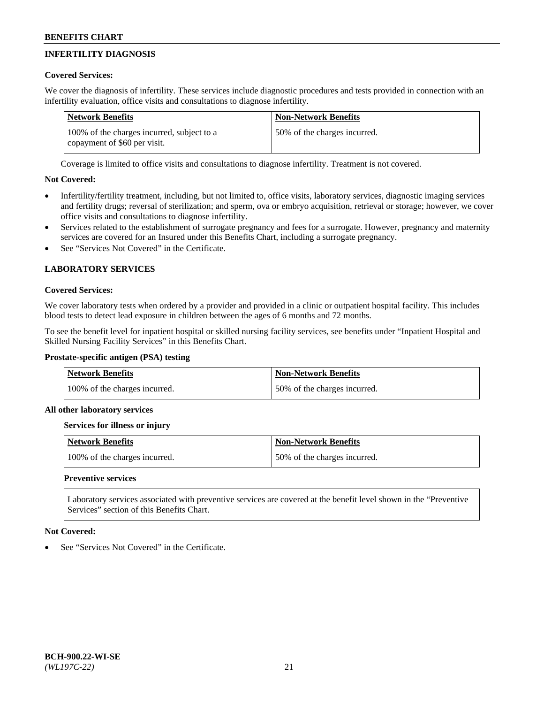# **INFERTILITY DIAGNOSIS**

## **Covered Services:**

We cover the diagnosis of infertility. These services include diagnostic procedures and tests provided in connection with an infertility evaluation, office visits and consultations to diagnose infertility.

| <b>Network Benefits</b>                                                    | <b>Non-Network Benefits</b>  |
|----------------------------------------------------------------------------|------------------------------|
| 100% of the charges incurred, subject to a<br>copayment of \$60 per visit. | 50% of the charges incurred. |

Coverage is limited to office visits and consultations to diagnose infertility. Treatment is not covered.

# **Not Covered:**

- Infertility/fertility treatment, including, but not limited to, office visits, laboratory services, diagnostic imaging services and fertility drugs; reversal of sterilization; and sperm, ova or embryo acquisition, retrieval or storage; however, we cover office visits and consultations to diagnose infertility.
- Services related to the establishment of surrogate pregnancy and fees for a surrogate. However, pregnancy and maternity services are covered for an Insured under this Benefits Chart, including a surrogate pregnancy.
- See "Services Not Covered" in the Certificate.

# **LABORATORY SERVICES**

## **Covered Services:**

We cover laboratory tests when ordered by a provider and provided in a clinic or outpatient hospital facility. This includes blood tests to detect lead exposure in children between the ages of 6 months and 72 months.

To see the benefit level for inpatient hospital or skilled nursing facility services, see benefits under "Inpatient Hospital and Skilled Nursing Facility Services" in this Benefits Chart.

# **Prostate-specific antigen (PSA) testing**

| <b>Network Benefits</b>       | <b>Non-Network Benefits</b>  |
|-------------------------------|------------------------------|
| 100% of the charges incurred. | 50% of the charges incurred. |

## **All other laboratory services**

## **Services for illness or injury**

| <b>Network Benefits</b>       | <b>Non-Network Benefits</b>  |
|-------------------------------|------------------------------|
| 100% of the charges incurred. | 50% of the charges incurred. |

## **Preventive services**

Laboratory services associated with preventive services are covered at the benefit level shown in the "Preventive Services" section of this Benefits Chart.

## **Not Covered:**

See "Services Not Covered" in the Certificate.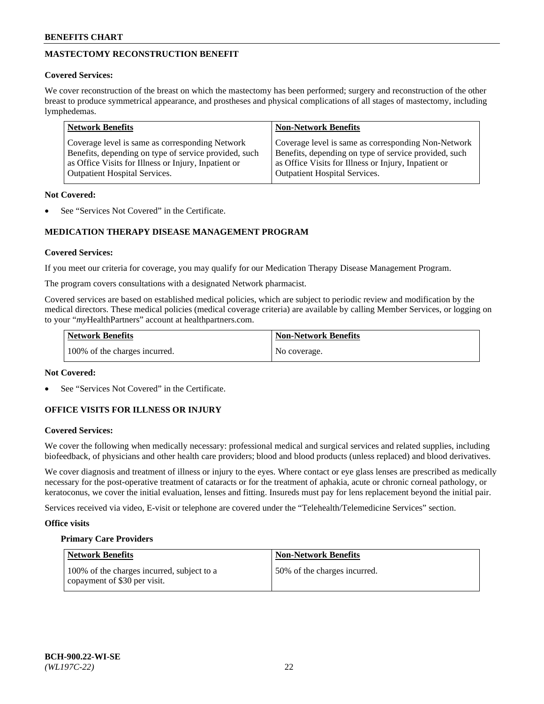# **MASTECTOMY RECONSTRUCTION BENEFIT**

## **Covered Services:**

We cover reconstruction of the breast on which the mastectomy has been performed; surgery and reconstruction of the other breast to produce symmetrical appearance, and prostheses and physical complications of all stages of mastectomy, including lymphedemas.

| <b>Network Benefits</b>                               | <b>Non-Network Benefits</b>                           |
|-------------------------------------------------------|-------------------------------------------------------|
| Coverage level is same as corresponding Network       | Coverage level is same as corresponding Non-Network   |
| Benefits, depending on type of service provided, such | Benefits, depending on type of service provided, such |
| as Office Visits for Illness or Injury, Inpatient or  | as Office Visits for Illness or Injury, Inpatient or  |
| <b>Outpatient Hospital Services.</b>                  | Outpatient Hospital Services.                         |

### **Not Covered:**

See "Services Not Covered" in the Certificate.

# **MEDICATION THERAPY DISEASE MANAGEMENT PROGRAM**

## **Covered Services:**

If you meet our criteria for coverage, you may qualify for our Medication Therapy Disease Management Program.

The program covers consultations with a designated Network pharmacist.

Covered services are based on established medical policies, which are subject to periodic review and modification by the medical directors. These medical policies (medical coverage criteria) are available by calling Member Services, or logging on to your "*my*HealthPartners" account at [healthpartners.com.](http://www.healthpartners.com/)

| Network Benefits              | <b>Non-Network Benefits</b> |
|-------------------------------|-----------------------------|
| 100% of the charges incurred. | No coverage.                |

## **Not Covered:**

See "Services Not Covered" in the Certificate.

## **OFFICE VISITS FOR ILLNESS OR INJURY**

## **Covered Services:**

We cover the following when medically necessary: professional medical and surgical services and related supplies, including biofeedback, of physicians and other health care providers; blood and blood products (unless replaced) and blood derivatives.

We cover diagnosis and treatment of illness or injury to the eyes. Where contact or eye glass lenses are prescribed as medically necessary for the post-operative treatment of cataracts or for the treatment of aphakia, acute or chronic corneal pathology, or keratoconus, we cover the initial evaluation, lenses and fitting. Insureds must pay for lens replacement beyond the initial pair.

Services received via video, E-visit or telephone are covered under the "Telehealth/Telemedicine Services" section.

## **Office visits**

## **Primary Care Providers**

| <b>Network Benefits</b>                                                    | <b>Non-Network Benefits</b>  |
|----------------------------------------------------------------------------|------------------------------|
| 100% of the charges incurred, subject to a<br>copayment of \$30 per visit. | 50% of the charges incurred. |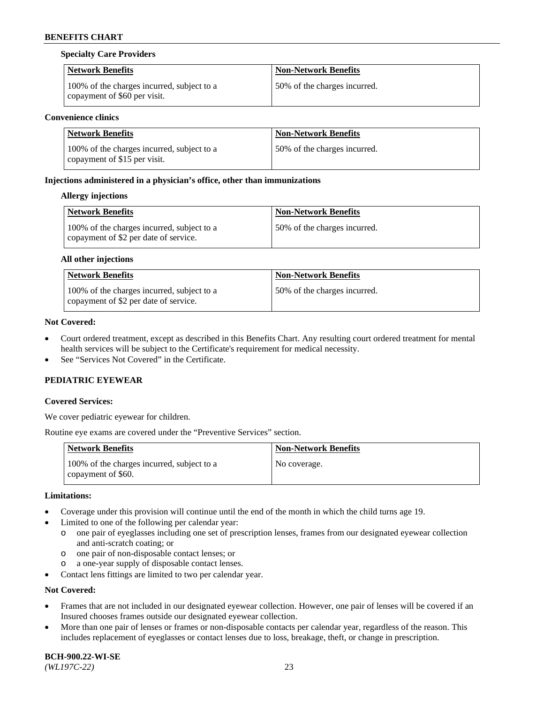### **Specialty Care Providers**

| <b>Network Benefits</b>                                                    | <b>Non-Network Benefits</b>  |
|----------------------------------------------------------------------------|------------------------------|
| 100% of the charges incurred, subject to a<br>copayment of \$60 per visit. | 50% of the charges incurred. |

### **Convenience clinics**

| Network Benefits                                                           | <b>Non-Network Benefits</b>  |
|----------------------------------------------------------------------------|------------------------------|
| 100% of the charges incurred, subject to a<br>copayment of \$15 per visit. | 50% of the charges incurred. |

### **Injections administered in a physician's office, other than immunizations**

### **Allergy injections**

| <b>Network Benefits</b>                                                             | <b>Non-Network Benefits</b>  |
|-------------------------------------------------------------------------------------|------------------------------|
| 100% of the charges incurred, subject to a<br>copayment of \$2 per date of service. | 50% of the charges incurred. |

### **All other injections**

| <b>Network Benefits</b>                                                             | <b>Non-Network Benefits</b>  |
|-------------------------------------------------------------------------------------|------------------------------|
| 100% of the charges incurred, subject to a<br>copayment of \$2 per date of service. | 50% of the charges incurred. |

### **Not Covered:**

- Court ordered treatment, except as described in this Benefits Chart. Any resulting court ordered treatment for mental health services will be subject to the Certificate's requirement for medical necessity.
- See "Services Not Covered" in the Certificate.

## **PEDIATRIC EYEWEAR**

## **Covered Services:**

We cover pediatric eyewear for children.

Routine eye exams are covered under the "Preventive Services" section.

| Network Benefits                                                 | <b>Non-Network Benefits</b> |
|------------------------------------------------------------------|-----------------------------|
| 100% of the charges incurred, subject to a<br>copayment of \$60. | No coverage.                |

### **Limitations:**

- Coverage under this provision will continue until the end of the month in which the child turns age 19.
- Limited to one of the following per calendar year:
	- o one pair of eyeglasses including one set of prescription lenses, frames from our designated eyewear collection and anti-scratch coating; or
	- o one pair of non-disposable contact lenses; or
	- o a one-year supply of disposable contact lenses.
- Contact lens fittings are limited to two per calendar year.

## **Not Covered:**

- Frames that are not included in our designated eyewear collection. However, one pair of lenses will be covered if an Insured chooses frames outside our designated eyewear collection.
- More than one pair of lenses or frames or non-disposable contacts per calendar year, regardless of the reason. This includes replacement of eyeglasses or contact lenses due to loss, breakage, theft, or change in prescription.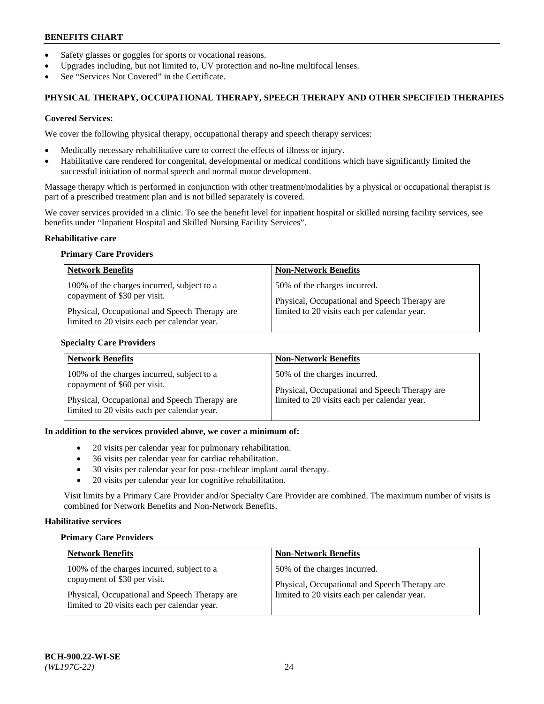- Safety glasses or goggles for sports or vocational reasons.
- Upgrades including, but not limited to, UV protection and no-line multifocal lenses.
- See "Services Not Covered" in the Certificate.

# **PHYSICAL THERAPY, OCCUPATIONAL THERAPY, SPEECH THERAPY AND OTHER SPECIFIED THERAPIES**

### **Covered Services:**

We cover the following physical therapy, occupational therapy and speech therapy services:

- Medically necessary rehabilitative care to correct the effects of illness or injury.
- Habilitative care rendered for congenital, developmental or medical conditions which have significantly limited the successful initiation of normal speech and normal motor development.

Massage therapy which is performed in conjunction with other treatment/modalities by a physical or occupational therapist is part of a prescribed treatment plan and is not billed separately is covered.

We cover services provided in a clinic. To see the benefit level for inpatient hospital or skilled nursing facility services, see benefits under "Inpatient Hospital and Skilled Nursing Facility Services".

### **Rehabilitative care**

### **Primary Care Providers**

| <b>Network Benefits</b>                                                                                                                                                     | <b>Non-Network Benefits</b>                                                                                                   |
|-----------------------------------------------------------------------------------------------------------------------------------------------------------------------------|-------------------------------------------------------------------------------------------------------------------------------|
| 100% of the charges incurred, subject to a<br>copayment of \$30 per visit.<br>Physical, Occupational and Speech Therapy are<br>limited to 20 visits each per calendar year. | 50% of the charges incurred.<br>Physical, Occupational and Speech Therapy are<br>limited to 20 visits each per calendar year. |

## **Specialty Care Providers**

| <b>Network Benefits</b>                                                                                                                                                     | <b>Non-Network Benefits</b>                                                                                                   |
|-----------------------------------------------------------------------------------------------------------------------------------------------------------------------------|-------------------------------------------------------------------------------------------------------------------------------|
| 100% of the charges incurred, subject to a<br>copayment of \$60 per visit.<br>Physical, Occupational and Speech Therapy are<br>limited to 20 visits each per calendar year. | 50% of the charges incurred.<br>Physical, Occupational and Speech Therapy are<br>limited to 20 visits each per calendar year. |

### **In addition to the services provided above, we cover a minimum of:**

- 20 visits per calendar year for pulmonary rehabilitation.
- 36 visits per calendar year for cardiac rehabilitation.
- 30 visits per calendar year for post-cochlear implant aural therapy.
- 20 visits per calendar year for cognitive rehabilitation.

Visit limits by a Primary Care Provider and/or Specialty Care Provider are combined. The maximum number of visits is combined for Network Benefits and Non-Network Benefits.

## **Habilitative services**

### **Primary Care Providers**

| <b>Network Benefits</b>                                                                       | <b>Non-Network Benefits</b>                                                   |
|-----------------------------------------------------------------------------------------------|-------------------------------------------------------------------------------|
| 100% of the charges incurred, subject to a<br>copayment of \$30 per visit.                    | 50% of the charges incurred.<br>Physical, Occupational and Speech Therapy are |
| Physical, Occupational and Speech Therapy are<br>limited to 20 visits each per calendar year. | limited to 20 visits each per calendar year.                                  |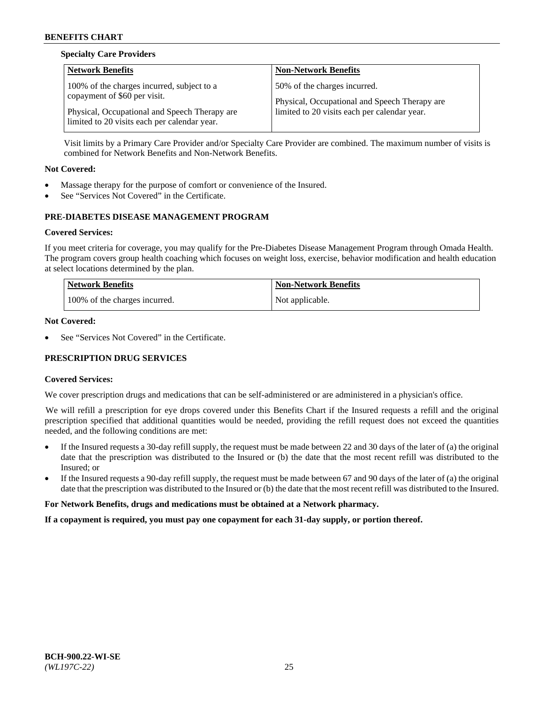# **Specialty Care Providers**

| 50% of the charges incurred.                  |
|-----------------------------------------------|
|                                               |
| Physical, Occupational and Speech Therapy are |
| limited to 20 visits each per calendar year.  |
|                                               |

Visit limits by a Primary Care Provider and/or Specialty Care Provider are combined. The maximum number of visits is combined for Network Benefits and Non-Network Benefits.

### **Not Covered:**

- Massage therapy for the purpose of comfort or convenience of the Insured.
- See "Services Not Covered" in the Certificate.

# **PRE-DIABETES DISEASE MANAGEMENT PROGRAM**

### **Covered Services:**

If you meet criteria for coverage, you may qualify for the Pre-Diabetes Disease Management Program through Omada Health. The program covers group health coaching which focuses on weight loss, exercise, behavior modification and health education at select locations determined by the plan.

| <b>Network Benefits</b>       | <b>Non-Network Benefits</b> |
|-------------------------------|-----------------------------|
| 100% of the charges incurred. | Not applicable.             |

### **Not Covered:**

See "Services Not Covered" in the Certificate.

# **PRESCRIPTION DRUG SERVICES**

### **Covered Services:**

We cover prescription drugs and medications that can be self-administered or are administered in a physician's office.

We will refill a prescription for eye drops covered under this Benefits Chart if the Insured requests a refill and the original prescription specified that additional quantities would be needed, providing the refill request does not exceed the quantities needed, and the following conditions are met:

- If the Insured requests a 30-day refill supply, the request must be made between 22 and 30 days of the later of (a) the original date that the prescription was distributed to the Insured or (b) the date that the most recent refill was distributed to the Insured; or
- If the Insured requests a 90-day refill supply, the request must be made between 67 and 90 days of the later of (a) the original date that the prescription was distributed to the Insured or (b) the date that the most recent refill was distributed to the Insured.

### **For Network Benefits, drugs and medications must be obtained at a Network pharmacy.**

**If a copayment is required, you must pay one copayment for each 31-day supply, or portion thereof.**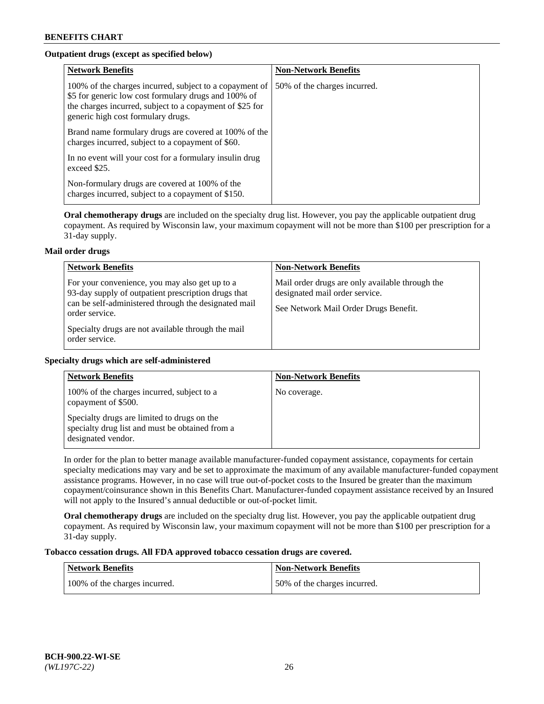# **Outpatient drugs (except as specified below)**

| <b>Network Benefits</b>                                                                                                                                                                                           | <b>Non-Network Benefits</b>  |
|-------------------------------------------------------------------------------------------------------------------------------------------------------------------------------------------------------------------|------------------------------|
| 100% of the charges incurred, subject to a copayment of<br>\$5 for generic low cost formulary drugs and 100% of<br>the charges incurred, subject to a copayment of \$25 for<br>generic high cost formulary drugs. | 50% of the charges incurred. |
| Brand name formulary drugs are covered at 100% of the<br>charges incurred, subject to a copayment of \$60.                                                                                                        |                              |
| In no event will your cost for a formulary insulin drug<br>exceed \$25.                                                                                                                                           |                              |
| Non-formulary drugs are covered at 100% of the<br>charges incurred, subject to a copayment of \$150.                                                                                                              |                              |

**Oral chemotherapy drugs** are included on the specialty drug list. However, you pay the applicable outpatient drug copayment. As required by Wisconsin law, your maximum copayment will not be more than \$100 per prescription for a 31-day supply.

## **Mail order drugs**

| <b>Network Benefits</b>                                                                                                                                                                                                                                 | <b>Non-Network Benefits</b>                                                                                                |
|---------------------------------------------------------------------------------------------------------------------------------------------------------------------------------------------------------------------------------------------------------|----------------------------------------------------------------------------------------------------------------------------|
| For your convenience, you may also get up to a<br>93-day supply of outpatient prescription drugs that<br>can be self-administered through the designated mail<br>order service.<br>Specialty drugs are not available through the mail<br>order service. | Mail order drugs are only available through the<br>designated mail order service.<br>See Network Mail Order Drugs Benefit. |

## **Specialty drugs which are self-administered**

| <b>Network Benefits</b>                                                                                              | <b>Non-Network Benefits</b> |
|----------------------------------------------------------------------------------------------------------------------|-----------------------------|
| 100% of the charges incurred, subject to a<br>copayment of \$500.                                                    | No coverage.                |
| Specialty drugs are limited to drugs on the<br>specialty drug list and must be obtained from a<br>designated vendor. |                             |

In order for the plan to better manage available manufacturer-funded copayment assistance, copayments for certain specialty medications may vary and be set to approximate the maximum of any available manufacturer-funded copayment assistance programs. However, in no case will true out-of-pocket costs to the Insured be greater than the maximum copayment/coinsurance shown in this Benefits Chart. Manufacturer-funded copayment assistance received by an Insured will not apply to the Insured's annual deductible or out-of-pocket limit.

**Oral chemotherapy drugs** are included on the specialty drug list. However, you pay the applicable outpatient drug copayment. As required by Wisconsin law, your maximum copayment will not be more than \$100 per prescription for a 31-day supply.

## **Tobacco cessation drugs. All FDA approved tobacco cessation drugs are covered.**

| Network Benefits              | Non-Network Benefits         |
|-------------------------------|------------------------------|
| 100% of the charges incurred. | 50% of the charges incurred. |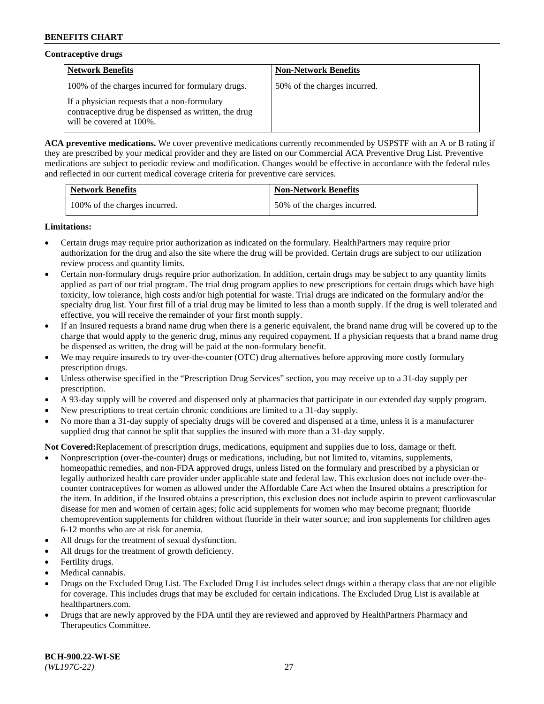## **Contraceptive drugs**

| <b>Network Benefits</b>                                                                                                          | <b>Non-Network Benefits</b>  |
|----------------------------------------------------------------------------------------------------------------------------------|------------------------------|
| 100% of the charges incurred for formulary drugs.                                                                                | 50% of the charges incurred. |
| If a physician requests that a non-formulary<br>contraceptive drug be dispensed as written, the drug<br>will be covered at 100%. |                              |

**ACA preventive medications.** We cover preventive medications currently recommended by USPSTF with an A or B rating if they are prescribed by your medical provider and they are listed on our Commercial ACA Preventive Drug List. Preventive medications are subject to periodic review and modification. Changes would be effective in accordance with the federal rules and reflected in our current medical coverage criteria for preventive care services.

| <b>Network Benefits</b>       | <b>Non-Network Benefits</b>  |
|-------------------------------|------------------------------|
| 100% of the charges incurred. | 50% of the charges incurred. |

### **Limitations:**

- Certain drugs may require prior authorization as indicated on the formulary. HealthPartners may require prior authorization for the drug and also the site where the drug will be provided. Certain drugs are subject to our utilization review process and quantity limits.
- Certain non-formulary drugs require prior authorization. In addition, certain drugs may be subject to any quantity limits applied as part of our trial program. The trial drug program applies to new prescriptions for certain drugs which have high toxicity, low tolerance, high costs and/or high potential for waste. Trial drugs are indicated on the formulary and/or the specialty drug list. Your first fill of a trial drug may be limited to less than a month supply. If the drug is well tolerated and effective, you will receive the remainder of your first month supply.
- If an Insured requests a brand name drug when there is a generic equivalent, the brand name drug will be covered up to the charge that would apply to the generic drug, minus any required copayment. If a physician requests that a brand name drug be dispensed as written, the drug will be paid at the non-formulary benefit.
- We may require insureds to try over-the-counter (OTC) drug alternatives before approving more costly formulary prescription drugs.
- Unless otherwise specified in the "Prescription Drug Services" section, you may receive up to a 31-day supply per prescription.
- A 93-day supply will be covered and dispensed only at pharmacies that participate in our extended day supply program.
- New prescriptions to treat certain chronic conditions are limited to a 31-day supply.
- No more than a 31-day supply of specialty drugs will be covered and dispensed at a time, unless it is a manufacturer supplied drug that cannot be split that supplies the insured with more than a 31-day supply.

**Not Covered:**Replacement of prescription drugs, medications, equipment and supplies due to loss, damage or theft.

- Nonprescription (over-the-counter) drugs or medications, including, but not limited to, vitamins, supplements, homeopathic remedies, and non-FDA approved drugs, unless listed on the formulary and prescribed by a physician or legally authorized health care provider under applicable state and federal law. This exclusion does not include over-thecounter contraceptives for women as allowed under the Affordable Care Act when the Insured obtains a prescription for the item. In addition, if the Insured obtains a prescription, this exclusion does not include aspirin to prevent cardiovascular disease for men and women of certain ages; folic acid supplements for women who may become pregnant; fluoride chemoprevention supplements for children without fluoride in their water source; and iron supplements for children ages 6-12 months who are at risk for anemia.
- All drugs for the treatment of sexual dysfunction.
- All drugs for the treatment of growth deficiency.
- Fertility drugs.
- Medical cannabis.
- Drugs on the Excluded Drug List. The Excluded Drug List includes select drugs within a therapy class that are not eligible for coverage. This includes drugs that may be excluded for certain indications. The Excluded Drug List is available at [healthpartners.com.](http://www.healthpartners.com/)
- Drugs that are newly approved by the FDA until they are reviewed and approved by HealthPartners Pharmacy and Therapeutics Committee.

**BCH-900.22-WI-SE**  *(WL197C-22)* 27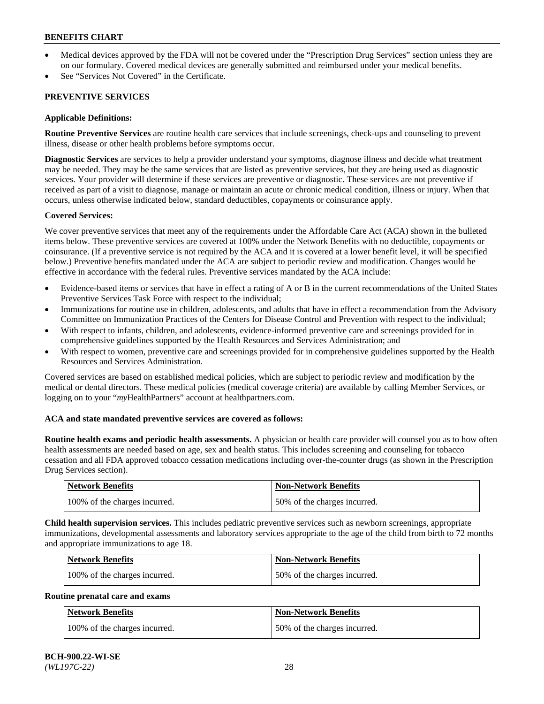- Medical devices approved by the FDA will not be covered under the "Prescription Drug Services" section unless they are on our formulary. Covered medical devices are generally submitted and reimbursed under your medical benefits.
- See "Services Not Covered" in the Certificate.

## **PREVENTIVE SERVICES**

### **Applicable Definitions:**

**Routine Preventive Services** are routine health care services that include screenings, check-ups and counseling to prevent illness, disease or other health problems before symptoms occur.

**Diagnostic Services** are services to help a provider understand your symptoms, diagnose illness and decide what treatment may be needed. They may be the same services that are listed as preventive services, but they are being used as diagnostic services. Your provider will determine if these services are preventive or diagnostic. These services are not preventive if received as part of a visit to diagnose, manage or maintain an acute or chronic medical condition, illness or injury. When that occurs, unless otherwise indicated below, standard deductibles, copayments or coinsurance apply.

### **Covered Services:**

We cover preventive services that meet any of the requirements under the Affordable Care Act (ACA) shown in the bulleted items below. These preventive services are covered at 100% under the Network Benefits with no deductible, copayments or coinsurance. (If a preventive service is not required by the ACA and it is covered at a lower benefit level, it will be specified below.) Preventive benefits mandated under the ACA are subject to periodic review and modification. Changes would be effective in accordance with the federal rules. Preventive services mandated by the ACA include:

- Evidence-based items or services that have in effect a rating of A or B in the current recommendations of the United States Preventive Services Task Force with respect to the individual;
- Immunizations for routine use in children, adolescents, and adults that have in effect a recommendation from the Advisory Committee on Immunization Practices of the Centers for Disease Control and Prevention with respect to the individual;
- With respect to infants, children, and adolescents, evidence-informed preventive care and screenings provided for in comprehensive guidelines supported by the Health Resources and Services Administration; and
- With respect to women, preventive care and screenings provided for in comprehensive guidelines supported by the Health Resources and Services Administration.

Covered services are based on established medical policies, which are subject to periodic review and modification by the medical or dental directors. These medical policies (medical coverage criteria) are available by calling Member Services, or logging on to your "*my*HealthPartners" account at [healthpartners.com.](https://www.healthpartners.com/hp/index.html)

## **ACA and state mandated preventive services are covered as follows:**

**Routine health exams and periodic health assessments.** A physician or health care provider will counsel you as to how often health assessments are needed based on age, sex and health status. This includes screening and counseling for tobacco cessation and all FDA approved tobacco cessation medications including over-the-counter drugs (as shown in the Prescription Drug Services section).

| <b>Network Benefits</b>       | Non-Network Benefits         |
|-------------------------------|------------------------------|
| 100% of the charges incurred. | 50% of the charges incurred. |

**Child health supervision services.** This includes pediatric preventive services such as newborn screenings, appropriate immunizations, developmental assessments and laboratory services appropriate to the age of the child from birth to 72 months and appropriate immunizations to age 18.

| Network Benefits              | <b>Non-Network Benefits</b>  |
|-------------------------------|------------------------------|
| 100% of the charges incurred. | 50% of the charges incurred. |

## **Routine prenatal care and exams**

| Network Benefits              | <b>Non-Network Benefits</b>  |
|-------------------------------|------------------------------|
| 100% of the charges incurred. | 50% of the charges incurred. |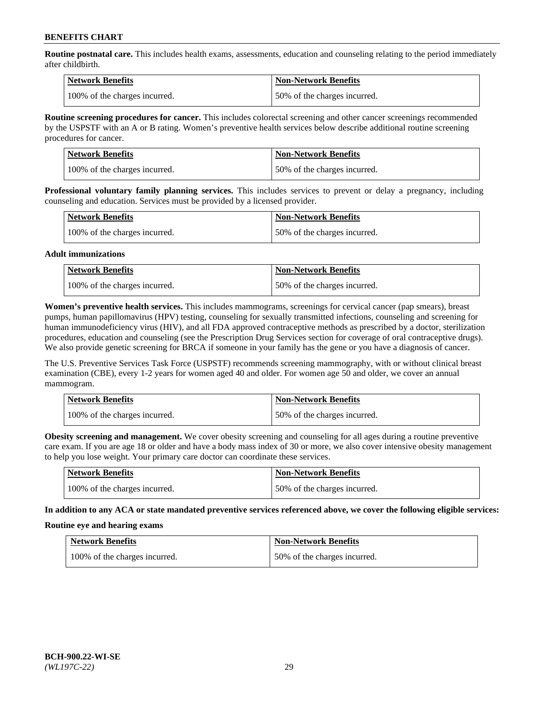**Routine postnatal care.** This includes health exams, assessments, education and counseling relating to the period immediately after childbirth.

| Network Benefits              | <b>Non-Network Benefits</b>  |
|-------------------------------|------------------------------|
| 100% of the charges incurred. | 50% of the charges incurred. |

**Routine screening procedures for cancer.** This includes colorectal screening and other cancer screenings recommended by the USPSTF with an A or B rating. Women's preventive health services below describe additional routine screening procedures for cancer.

| <b>Network Benefits</b>       | <b>Non-Network Benefits</b>  |
|-------------------------------|------------------------------|
| 100% of the charges incurred. | 50% of the charges incurred. |

**Professional voluntary family planning services.** This includes services to prevent or delay a pregnancy, including counseling and education. Services must be provided by a licensed provider.

| <b>Network Benefits</b>       | <b>Non-Network Benefits</b>  |
|-------------------------------|------------------------------|
| 100% of the charges incurred. | 50% of the charges incurred. |

### **Adult immunizations**

| <b>Network Benefits</b>       | <b>Non-Network Benefits</b>  |
|-------------------------------|------------------------------|
| 100% of the charges incurred. | 50% of the charges incurred. |

**Women's preventive health services.** This includes mammograms, screenings for cervical cancer (pap smears), breast pumps, human papillomavirus (HPV) testing, counseling for sexually transmitted infections, counseling and screening for human immunodeficiency virus (HIV), and all FDA approved contraceptive methods as prescribed by a doctor, sterilization procedures, education and counseling (see the Prescription Drug Services section for coverage of oral contraceptive drugs). We also provide genetic screening for BRCA if someone in your family has the gene or you have a diagnosis of cancer.

The U.S. Preventive Services Task Force (USPSTF) recommends screening mammography, with or without clinical breast examination (CBE), every 1-2 years for women aged 40 and older. For women age 50 and older, we cover an annual mammogram.

| <b>Network Benefits</b>       | <b>Non-Network Benefits</b>  |
|-------------------------------|------------------------------|
| 100% of the charges incurred. | 50% of the charges incurred. |

**Obesity screening and management.** We cover obesity screening and counseling for all ages during a routine preventive care exam. If you are age 18 or older and have a body mass index of 30 or more, we also cover intensive obesity management to help you lose weight. Your primary care doctor can coordinate these services.

| <b>Network Benefits</b>       | <b>Non-Network Benefits</b>  |
|-------------------------------|------------------------------|
| 100% of the charges incurred. | 50% of the charges incurred. |

**In addition to any ACA or state mandated preventive services referenced above, we cover the following eligible services:**

### **Routine eye and hearing exams**

| Network Benefits              | <b>Non-Network Benefits</b>  |
|-------------------------------|------------------------------|
| 100% of the charges incurred. | 50% of the charges incurred. |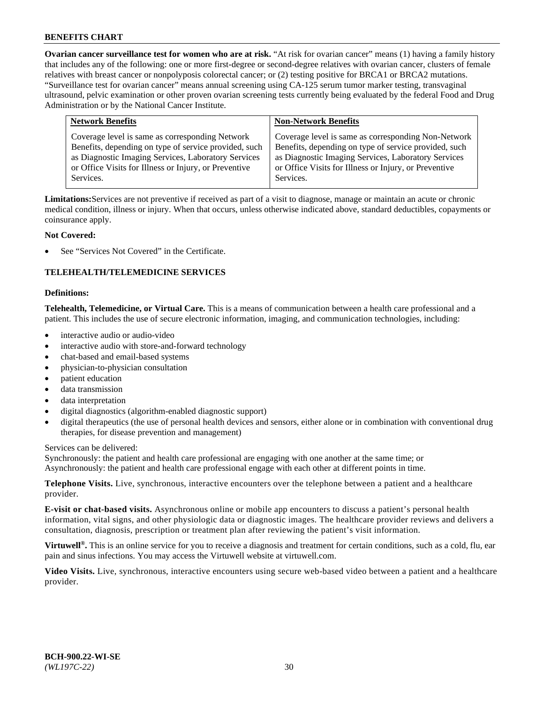**Ovarian cancer surveillance test for women who are at risk.** "At risk for ovarian cancer" means (1) having a family history that includes any of the following: one or more first-degree or second-degree relatives with ovarian cancer, clusters of female relatives with breast cancer or nonpolyposis colorectal cancer; or (2) testing positive for BRCA1 or BRCA2 mutations. "Surveillance test for ovarian cancer" means annual screening using CA-125 serum tumor marker testing, transvaginal ultrasound, pelvic examination or other proven ovarian screening tests currently being evaluated by the federal Food and Drug Administration or by the National Cancer Institute.

| Coverage level is same as corresponding Network<br>Coverage level is same as corresponding Non-Network<br>Benefits, depending on type of service provided, such<br>Benefits, depending on type of service provided, such<br>as Diagnostic Imaging Services, Laboratory Services<br>as Diagnostic Imaging Services, Laboratory Services<br>or Office Visits for Illness or Injury, or Preventive<br>or Office Visits for Illness or Injury, or Preventive<br>Services.<br>Services. |  |
|------------------------------------------------------------------------------------------------------------------------------------------------------------------------------------------------------------------------------------------------------------------------------------------------------------------------------------------------------------------------------------------------------------------------------------------------------------------------------------|--|

**Limitations:**Services are not preventive if received as part of a visit to diagnose, manage or maintain an acute or chronic medical condition, illness or injury. When that occurs, unless otherwise indicated above, standard deductibles, copayments or coinsurance apply.

## **Not Covered:**

See "Services Not Covered" in the Certificate.

## **TELEHEALTH/TELEMEDICINE SERVICES**

### **Definitions:**

**Telehealth, Telemedicine, or Virtual Care.** This is a means of communication between a health care professional and a patient. This includes the use of secure electronic information, imaging, and communication technologies, including:

- interactive audio or audio-video
- interactive audio with store-and-forward technology
- chat-based and email-based systems
- physician-to-physician consultation
- patient education
- data transmission
- data interpretation
- digital diagnostics (algorithm-enabled diagnostic support)
- digital therapeutics (the use of personal health devices and sensors, either alone or in combination with conventional drug therapies, for disease prevention and management)

Services can be delivered:

Synchronously: the patient and health care professional are engaging with one another at the same time; or Asynchronously: the patient and health care professional engage with each other at different points in time.

**Telephone Visits.** Live, synchronous, interactive encounters over the telephone between a patient and a healthcare provider.

**E-visit or chat-based visits.** Asynchronous online or mobile app encounters to discuss a patient's personal health information, vital signs, and other physiologic data or diagnostic images. The healthcare provider reviews and delivers a consultation, diagnosis, prescription or treatment plan after reviewing the patient's visit information.

**Virtuwell<sup>®</sup>.** This is an online service for you to receive a diagnosis and treatment for certain conditions, such as a cold, flu, ear pain and sinus infections. You may access the Virtuwell website at [virtuwell.com.](https://www.virtuwell.com/)

**Video Visits.** Live, synchronous, interactive encounters using secure web-based video between a patient and a healthcare provider.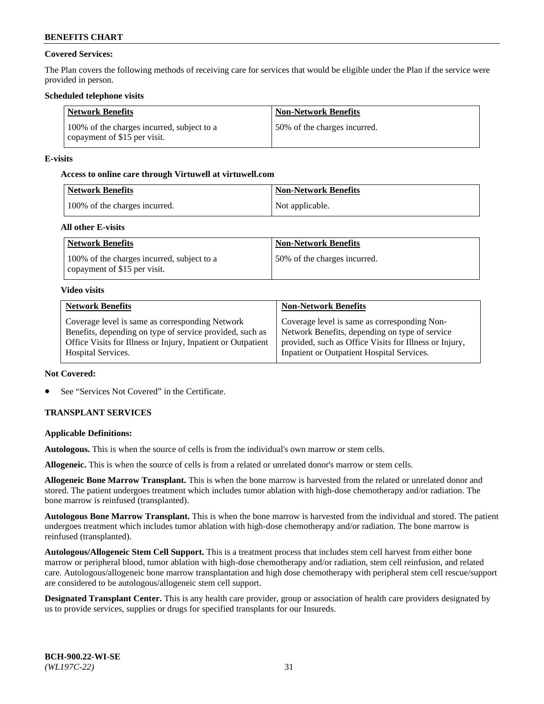## **Covered Services:**

The Plan covers the following methods of receiving care for services that would be eligible under the Plan if the service were provided in person.

### **Scheduled telephone visits**

| <b>Network Benefits</b>                                                    | <b>Non-Network Benefits</b>  |
|----------------------------------------------------------------------------|------------------------------|
| 100% of the charges incurred, subject to a<br>copayment of \$15 per visit. | 50% of the charges incurred. |

### **E-visits**

### **Access to online care through Virtuwell at [virtuwell.com](https://www.virtuwell.com/)**

| Network Benefits              | <b>Non-Network Benefits</b> |
|-------------------------------|-----------------------------|
| 100% of the charges incurred. | Not applicable.             |

### **All other E-visits**

| <b>Network Benefits</b>                                                    | <b>Non-Network Benefits</b>   |
|----------------------------------------------------------------------------|-------------------------------|
| 100% of the charges incurred, subject to a<br>copayment of \$15 per visit. | 150% of the charges incurred. |

### **Video visits**

| <b>Network Benefits</b>                                      | <b>Non-Network Benefits</b>                            |
|--------------------------------------------------------------|--------------------------------------------------------|
| Coverage level is same as corresponding Network              | Coverage level is same as corresponding Non-           |
| Benefits, depending on type of service provided, such as     | Network Benefits, depending on type of service         |
| Office Visits for Illness or Injury, Inpatient or Outpatient | provided, such as Office Visits for Illness or Injury, |
| Hospital Services.                                           | Inpatient or Outpatient Hospital Services.             |

### **Not Covered:**

See "Services Not Covered" in the Certificate.

## **TRANSPLANT SERVICES**

### **Applicable Definitions:**

**Autologous.** This is when the source of cells is from the individual's own marrow or stem cells.

**Allogeneic.** This is when the source of cells is from a related or unrelated donor's marrow or stem cells.

**Allogeneic Bone Marrow Transplant.** This is when the bone marrow is harvested from the related or unrelated donor and stored. The patient undergoes treatment which includes tumor ablation with high-dose chemotherapy and/or radiation. The bone marrow is reinfused (transplanted).

**Autologous Bone Marrow Transplant.** This is when the bone marrow is harvested from the individual and stored. The patient undergoes treatment which includes tumor ablation with high-dose chemotherapy and/or radiation. The bone marrow is reinfused (transplanted).

**Autologous/Allogeneic Stem Cell Support.** This is a treatment process that includes stem cell harvest from either bone marrow or peripheral blood, tumor ablation with high-dose chemotherapy and/or radiation, stem cell reinfusion, and related care. Autologous/allogeneic bone marrow transplantation and high dose chemotherapy with peripheral stem cell rescue/support are considered to be autologous/allogeneic stem cell support.

**Designated Transplant Center.** This is any health care provider, group or association of health care providers designated by us to provide services, supplies or drugs for specified transplants for our Insureds.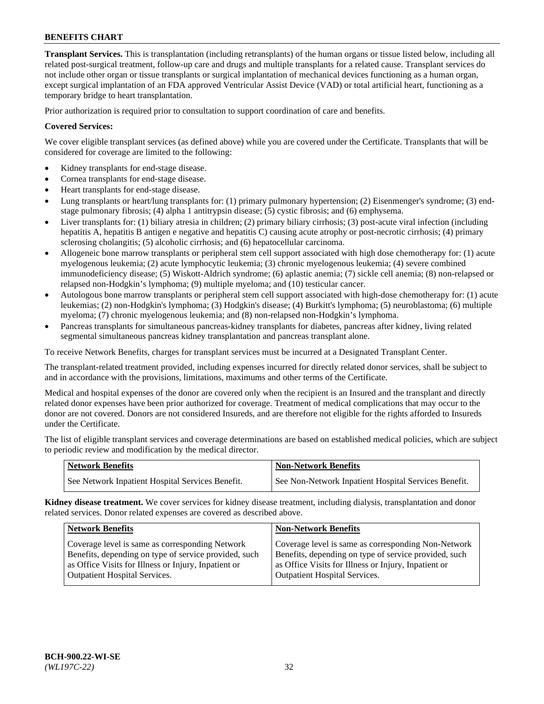**Transplant Services.** This is transplantation (including retransplants) of the human organs or tissue listed below, including all related post-surgical treatment, follow-up care and drugs and multiple transplants for a related cause. Transplant services do not include other organ or tissue transplants or surgical implantation of mechanical devices functioning as a human organ, except surgical implantation of an FDA approved Ventricular Assist Device (VAD) or total artificial heart, functioning as a temporary bridge to heart transplantation.

Prior authorization is required prior to consultation to support coordination of care and benefits.

## **Covered Services:**

We cover eligible transplant services (as defined above) while you are covered under the Certificate. Transplants that will be considered for coverage are limited to the following:

- Kidney transplants for end-stage disease.
- Cornea transplants for end-stage disease.
- Heart transplants for end-stage disease.
- Lung transplants or heart/lung transplants for: (1) primary pulmonary hypertension; (2) Eisenmenger's syndrome; (3) endstage pulmonary fibrosis; (4) alpha 1 antitrypsin disease; (5) cystic fibrosis; and (6) emphysema.
- Liver transplants for: (1) biliary atresia in children; (2) primary biliary cirrhosis; (3) post-acute viral infection (including hepatitis A, hepatitis B antigen e negative and hepatitis C) causing acute atrophy or post-necrotic cirrhosis; (4) primary sclerosing cholangitis; (5) alcoholic cirrhosis; and (6) hepatocellular carcinoma.
- Allogeneic bone marrow transplants or peripheral stem cell support associated with high dose chemotherapy for: (1) acute myelogenous leukemia; (2) acute lymphocytic leukemia; (3) chronic myelogenous leukemia; (4) severe combined immunodeficiency disease; (5) Wiskott-Aldrich syndrome; (6) aplastic anemia; (7) sickle cell anemia; (8) non-relapsed or relapsed non-Hodgkin's lymphoma; (9) multiple myeloma; and (10) testicular cancer.
- Autologous bone marrow transplants or peripheral stem cell support associated with high-dose chemotherapy for: (1) acute leukemias; (2) non-Hodgkin's lymphoma; (3) Hodgkin's disease; (4) Burkitt's lymphoma; (5) neuroblastoma; (6) multiple myeloma; (7) chronic myelogenous leukemia; and (8) non-relapsed non-Hodgkin's lymphoma.
- Pancreas transplants for simultaneous pancreas-kidney transplants for diabetes, pancreas after kidney, living related segmental simultaneous pancreas kidney transplantation and pancreas transplant alone.

To receive Network Benefits, charges for transplant services must be incurred at a Designated Transplant Center.

The transplant-related treatment provided, including expenses incurred for directly related donor services, shall be subject to and in accordance with the provisions, limitations, maximums and other terms of the Certificate.

Medical and hospital expenses of the donor are covered only when the recipient is an Insured and the transplant and directly related donor expenses have been prior authorized for coverage. Treatment of medical complications that may occur to the donor are not covered. Donors are not considered Insureds, and are therefore not eligible for the rights afforded to Insureds under the Certificate.

The list of eligible transplant services and coverage determinations are based on established medical policies, which are subject to periodic review and modification by the medical director.

| <b>Network Benefits</b>                          | <b>Non-Network Benefits</b>                          |
|--------------------------------------------------|------------------------------------------------------|
| See Network Inpatient Hospital Services Benefit. | See Non-Network Inpatient Hospital Services Benefit. |

**Kidney disease treatment.** We cover services for kidney disease treatment, including dialysis, transplantation and donor related services. Donor related expenses are covered as described above.

| <b>Network Benefits</b>                               | <b>Non-Network Benefits</b>                           |
|-------------------------------------------------------|-------------------------------------------------------|
| Coverage level is same as corresponding Network       | Coverage level is same as corresponding Non-Network   |
| Benefits, depending on type of service provided, such | Benefits, depending on type of service provided, such |
| as Office Visits for Illness or Injury, Inpatient or  | as Office Visits for Illness or Injury, Inpatient or  |
| <b>Outpatient Hospital Services.</b>                  | <b>Outpatient Hospital Services.</b>                  |